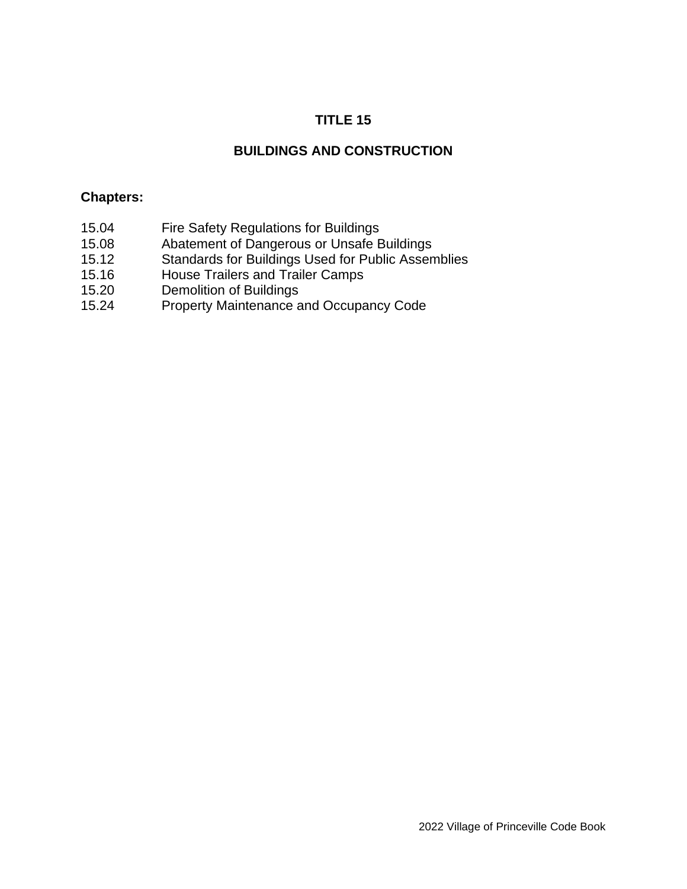# **TITLE 15**

## **BUILDINGS AND CONSTRUCTION**

#### **Chapters:**

- 15.04 Fire Safety Regulations for Buildings
- 15.08 Abatement of Dangerous or Unsafe Buildings
- 15.12 Standards for Buildings Used for Public Assemblies
- 15.16 House Trailers and Trailer Camps
- 15.20 Demolition of Buildings
- 15.24 Property Maintenance and Occupancy Code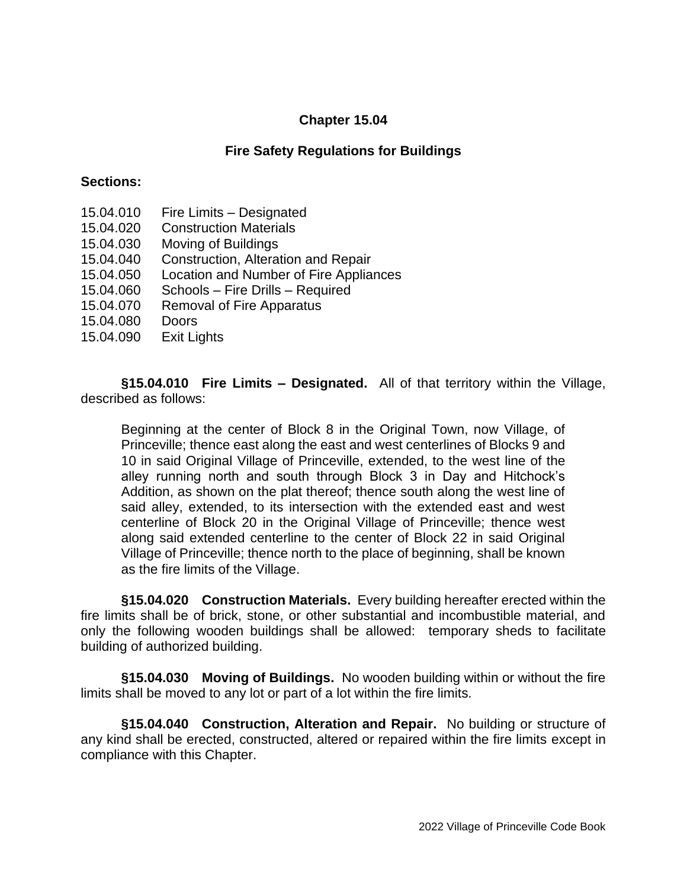### **Chapter 15.04**

### **Fire Safety Regulations for Buildings**

#### **Sections:**

- 15.04.010 Fire Limits Designated
- 15.04.020 Construction Materials
- 15.04.030 Moving of Buildings
- 15.04.040 Construction, Alteration and Repair
- 15.04.050 Location and Number of Fire Appliances
- 15.04.060 Schools Fire Drills Required
- 15.04.070 Removal of Fire Apparatus
- 15.04.080 Doors
- 15.04.090 Exit Lights

**§15.04.010 Fire Limits – Designated.** All of that territory within the Village, described as follows:

Beginning at the center of Block 8 in the Original Town, now Village, of Princeville; thence east along the east and west centerlines of Blocks 9 and 10 in said Original Village of Princeville, extended, to the west line of the alley running north and south through Block 3 in Day and Hitchock's Addition, as shown on the plat thereof; thence south along the west line of said alley, extended, to its intersection with the extended east and west centerline of Block 20 in the Original Village of Princeville; thence west along said extended centerline to the center of Block 22 in said Original Village of Princeville; thence north to the place of beginning, shall be known as the fire limits of the Village.

**§15.04.020 Construction Materials.** Every building hereafter erected within the fire limits shall be of brick, stone, or other substantial and incombustible material, and only the following wooden buildings shall be allowed: temporary sheds to facilitate building of authorized building.

**§15.04.030 Moving of Buildings.** No wooden building within or without the fire limits shall be moved to any lot or part of a lot within the fire limits.

**§15.04.040 Construction, Alteration and Repair.** No building or structure of any kind shall be erected, constructed, altered or repaired within the fire limits except in compliance with this Chapter.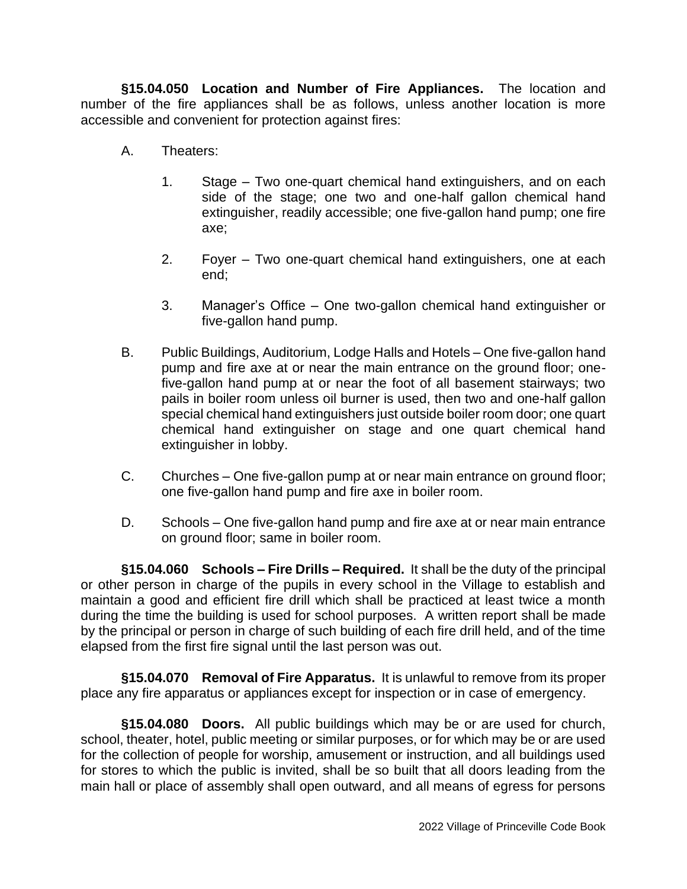**§15.04.050 Location and Number of Fire Appliances.** The location and number of the fire appliances shall be as follows, unless another location is more accessible and convenient for protection against fires:

- A. Theaters:
	- 1. Stage Two one-quart chemical hand extinguishers, and on each side of the stage; one two and one-half gallon chemical hand extinguisher, readily accessible; one five-gallon hand pump; one fire axe;
	- 2. Foyer Two one-quart chemical hand extinguishers, one at each end;
	- 3. Manager's Office One two-gallon chemical hand extinguisher or five-gallon hand pump.
- B. Public Buildings, Auditorium, Lodge Halls and Hotels One five-gallon hand pump and fire axe at or near the main entrance on the ground floor; onefive-gallon hand pump at or near the foot of all basement stairways; two pails in boiler room unless oil burner is used, then two and one-half gallon special chemical hand extinguishers just outside boiler room door; one quart chemical hand extinguisher on stage and one quart chemical hand extinguisher in lobby.
- C. Churches One five-gallon pump at or near main entrance on ground floor; one five-gallon hand pump and fire axe in boiler room.
- D. Schools One five-gallon hand pump and fire axe at or near main entrance on ground floor; same in boiler room.

**§15.04.060 Schools – Fire Drills – Required.** It shall be the duty of the principal or other person in charge of the pupils in every school in the Village to establish and maintain a good and efficient fire drill which shall be practiced at least twice a month during the time the building is used for school purposes. A written report shall be made by the principal or person in charge of such building of each fire drill held, and of the time elapsed from the first fire signal until the last person was out.

**§15.04.070 Removal of Fire Apparatus.** It is unlawful to remove from its proper place any fire apparatus or appliances except for inspection or in case of emergency.

**§15.04.080 Doors.** All public buildings which may be or are used for church, school, theater, hotel, public meeting or similar purposes, or for which may be or are used for the collection of people for worship, amusement or instruction, and all buildings used for stores to which the public is invited, shall be so built that all doors leading from the main hall or place of assembly shall open outward, and all means of egress for persons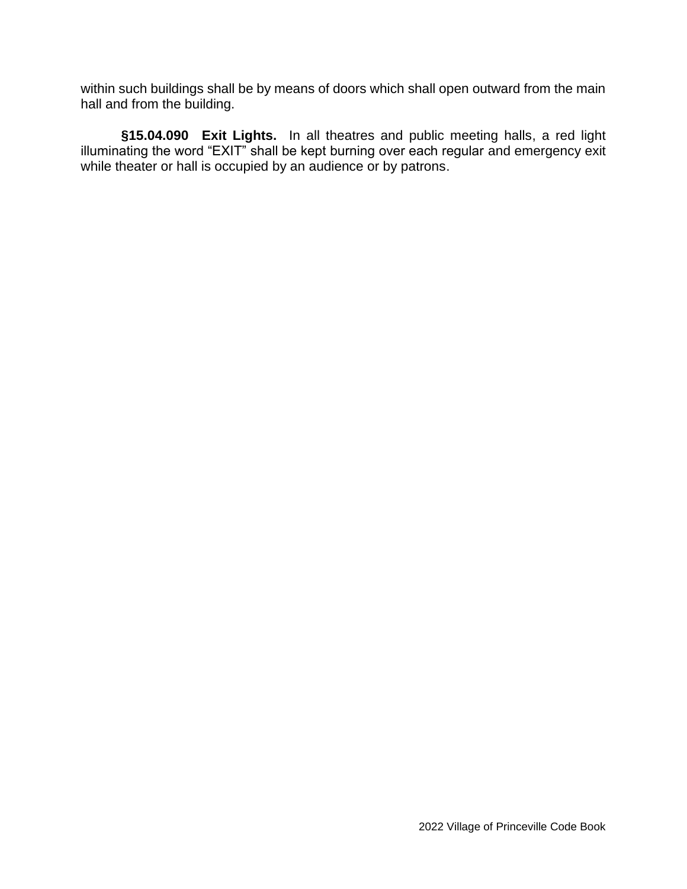within such buildings shall be by means of doors which shall open outward from the main hall and from the building.

**§15.04.090 Exit Lights.** In all theatres and public meeting halls, a red light illuminating the word "EXIT" shall be kept burning over each regular and emergency exit while theater or hall is occupied by an audience or by patrons.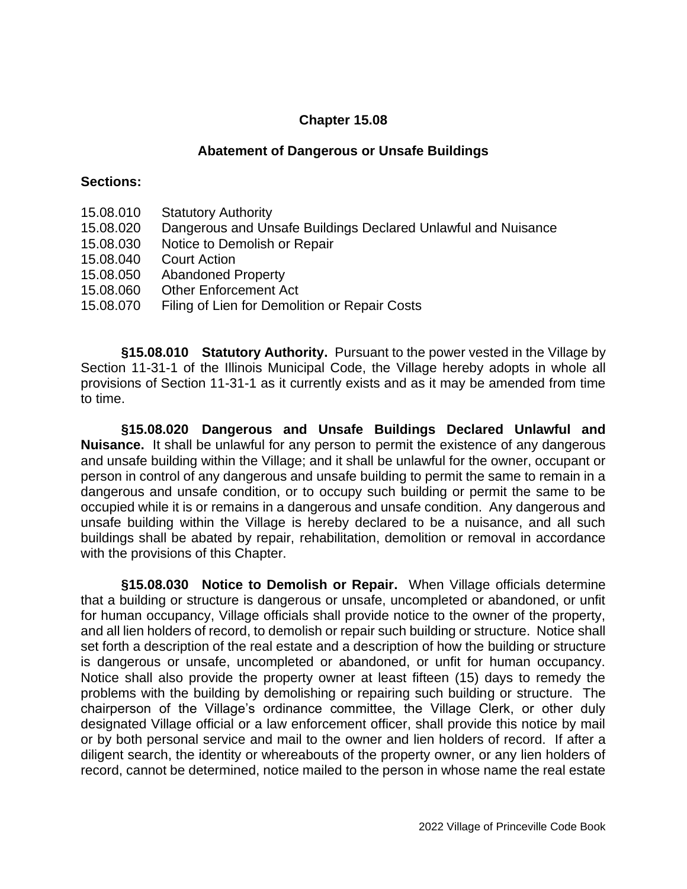### **Chapter 15.08**

#### **Abatement of Dangerous or Unsafe Buildings**

#### **Sections:**

- 15.08.010 Statutory Authority
- 15.08.020 Dangerous and Unsafe Buildings Declared Unlawful and Nuisance
- 15.08.030 Notice to Demolish or Repair
- 15.08.040 Court Action
- 15.08.050 Abandoned Property
- 15.08.060 Other Enforcement Act
- 15.08.070 Filing of Lien for Demolition or Repair Costs

**§15.08.010 Statutory Authority.** Pursuant to the power vested in the Village by Section 11-31-1 of the Illinois Municipal Code, the Village hereby adopts in whole all provisions of Section 11-31-1 as it currently exists and as it may be amended from time to time.

**§15.08.020 Dangerous and Unsafe Buildings Declared Unlawful and Nuisance.** It shall be unlawful for any person to permit the existence of any dangerous and unsafe building within the Village; and it shall be unlawful for the owner, occupant or person in control of any dangerous and unsafe building to permit the same to remain in a dangerous and unsafe condition, or to occupy such building or permit the same to be occupied while it is or remains in a dangerous and unsafe condition. Any dangerous and unsafe building within the Village is hereby declared to be a nuisance, and all such buildings shall be abated by repair, rehabilitation, demolition or removal in accordance with the provisions of this Chapter.

**§15.08.030 Notice to Demolish or Repair.** When Village officials determine that a building or structure is dangerous or unsafe, uncompleted or abandoned, or unfit for human occupancy, Village officials shall provide notice to the owner of the property, and all lien holders of record, to demolish or repair such building or structure. Notice shall set forth a description of the real estate and a description of how the building or structure is dangerous or unsafe, uncompleted or abandoned, or unfit for human occupancy. Notice shall also provide the property owner at least fifteen (15) days to remedy the problems with the building by demolishing or repairing such building or structure. The chairperson of the Village's ordinance committee, the Village Clerk, or other duly designated Village official or a law enforcement officer, shall provide this notice by mail or by both personal service and mail to the owner and lien holders of record. If after a diligent search, the identity or whereabouts of the property owner, or any lien holders of record, cannot be determined, notice mailed to the person in whose name the real estate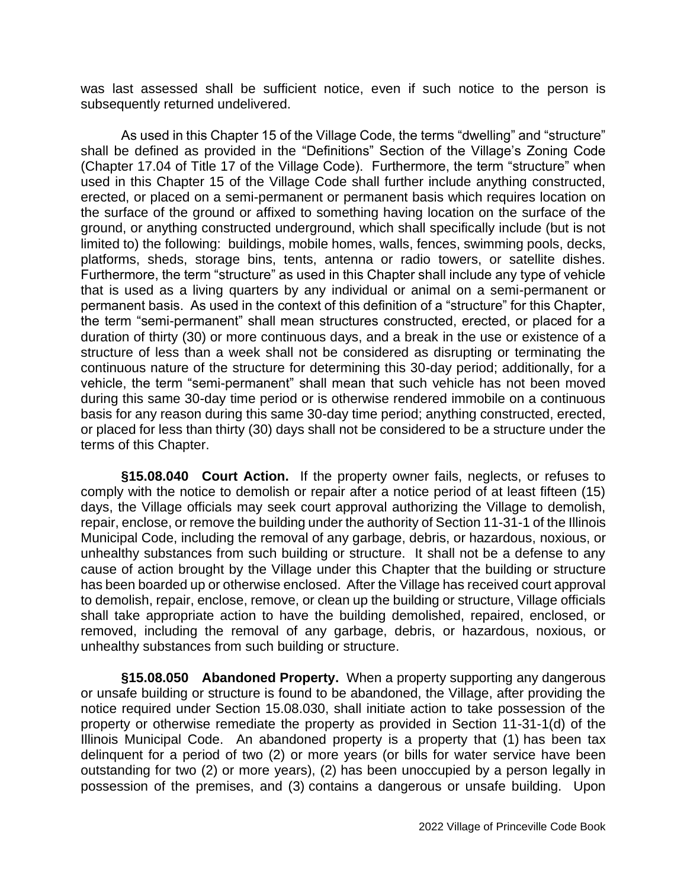was last assessed shall be sufficient notice, even if such notice to the person is subsequently returned undelivered.

As used in this Chapter 15 of the Village Code, the terms "dwelling" and "structure" shall be defined as provided in the "Definitions" Section of the Village's Zoning Code (Chapter 17.04 of Title 17 of the Village Code). Furthermore, the term "structure" when used in this Chapter 15 of the Village Code shall further include anything constructed, erected, or placed on a semi-permanent or permanent basis which requires location on the surface of the ground or affixed to something having location on the surface of the ground, or anything constructed underground, which shall specifically include (but is not limited to) the following: buildings, mobile homes, walls, fences, swimming pools, decks, platforms, sheds, storage bins, tents, antenna or radio towers, or satellite dishes. Furthermore, the term "structure" as used in this Chapter shall include any type of vehicle that is used as a living quarters by any individual or animal on a semi-permanent or permanent basis. As used in the context of this definition of a "structure" for this Chapter, the term "semi-permanent" shall mean structures constructed, erected, or placed for a duration of thirty (30) or more continuous days, and a break in the use or existence of a structure of less than a week shall not be considered as disrupting or terminating the continuous nature of the structure for determining this 30-day period; additionally, for a vehicle, the term "semi-permanent" shall mean that such vehicle has not been moved during this same 30-day time period or is otherwise rendered immobile on a continuous basis for any reason during this same 30-day time period; anything constructed, erected, or placed for less than thirty (30) days shall not be considered to be a structure under the terms of this Chapter.

**§15.08.040 Court Action.** If the property owner fails, neglects, or refuses to comply with the notice to demolish or repair after a notice period of at least fifteen (15) days, the Village officials may seek court approval authorizing the Village to demolish, repair, enclose, or remove the building under the authority of Section 11-31-1 of the Illinois Municipal Code, including the removal of any garbage, debris, or hazardous, noxious, or unhealthy substances from such building or structure. It shall not be a defense to any cause of action brought by the Village under this Chapter that the building or structure has been boarded up or otherwise enclosed. After the Village has received court approval to demolish, repair, enclose, remove, or clean up the building or structure, Village officials shall take appropriate action to have the building demolished, repaired, enclosed, or removed, including the removal of any garbage, debris, or hazardous, noxious, or unhealthy substances from such building or structure.

**§15.08.050 Abandoned Property.** When a property supporting any dangerous or unsafe building or structure is found to be abandoned, the Village, after providing the notice required under Section 15.08.030, shall initiate action to take possession of the property or otherwise remediate the property as provided in Section 11-31-1(d) of the Illinois Municipal Code. An abandoned property is a property that (1) has been tax delinquent for a period of two (2) or more years (or bills for water service have been outstanding for two (2) or more years), (2) has been unoccupied by a person legally in possession of the premises, and (3) contains a dangerous or unsafe building. Upon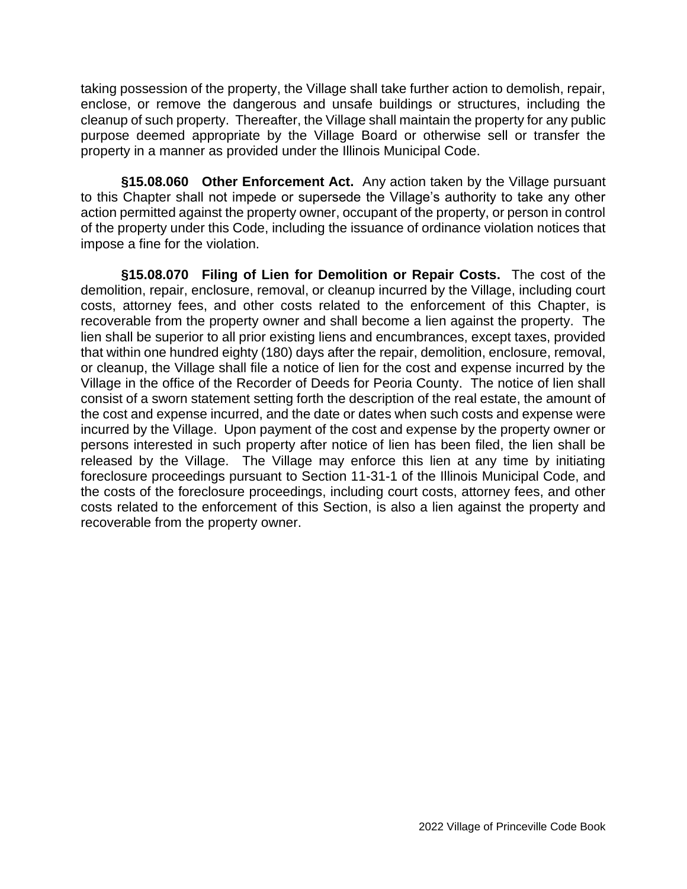taking possession of the property, the Village shall take further action to demolish, repair, enclose, or remove the dangerous and unsafe buildings or structures, including the cleanup of such property. Thereafter, the Village shall maintain the property for any public purpose deemed appropriate by the Village Board or otherwise sell or transfer the property in a manner as provided under the Illinois Municipal Code.

**§15.08.060 Other Enforcement Act.** Any action taken by the Village pursuant to this Chapter shall not impede or supersede the Village's authority to take any other action permitted against the property owner, occupant of the property, or person in control of the property under this Code, including the issuance of ordinance violation notices that impose a fine for the violation.

**§15.08.070 Filing of Lien for Demolition or Repair Costs.** The cost of the demolition, repair, enclosure, removal, or cleanup incurred by the Village, including court costs, attorney fees, and other costs related to the enforcement of this Chapter, is recoverable from the property owner and shall become a lien against the property. The lien shall be superior to all prior existing liens and encumbrances, except taxes, provided that within one hundred eighty (180) days after the repair, demolition, enclosure, removal, or cleanup, the Village shall file a notice of lien for the cost and expense incurred by the Village in the office of the Recorder of Deeds for Peoria County. The notice of lien shall consist of a sworn statement setting forth the description of the real estate, the amount of the cost and expense incurred, and the date or dates when such costs and expense were incurred by the Village. Upon payment of the cost and expense by the property owner or persons interested in such property after notice of lien has been filed, the lien shall be released by the Village. The Village may enforce this lien at any time by initiating foreclosure proceedings pursuant to Section 11-31-1 of the Illinois Municipal Code, and the costs of the foreclosure proceedings, including court costs, attorney fees, and other costs related to the enforcement of this Section, is also a lien against the property and recoverable from the property owner.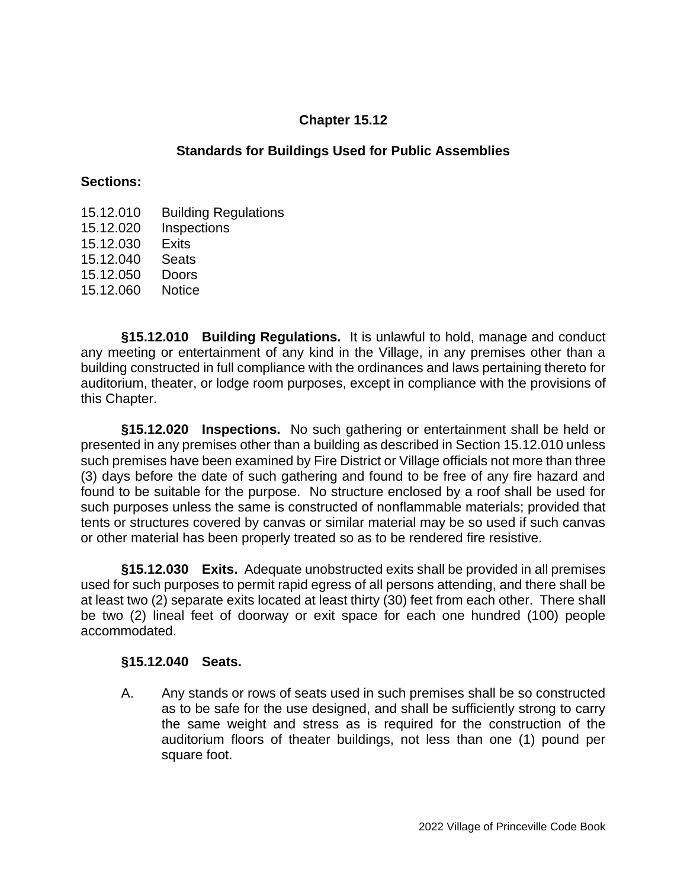### **Chapter 15.12**

### **Standards for Buildings Used for Public Assemblies**

#### **Sections:**

- 15.12.010 Building Regulations
- 15.12.020 Inspections
- 15.12.030 Exits
- 15.12.040 Seats
- 15.12.050 Doors
- 15.12.060 Notice

**§15.12.010 Building Regulations.** It is unlawful to hold, manage and conduct any meeting or entertainment of any kind in the Village, in any premises other than a building constructed in full compliance with the ordinances and laws pertaining thereto for auditorium, theater, or lodge room purposes, except in compliance with the provisions of this Chapter.

**§15.12.020 Inspections.** No such gathering or entertainment shall be held or presented in any premises other than a building as described in Section 15.12.010 unless such premises have been examined by Fire District or Village officials not more than three (3) days before the date of such gathering and found to be free of any fire hazard and found to be suitable for the purpose. No structure enclosed by a roof shall be used for such purposes unless the same is constructed of nonflammable materials; provided that tents or structures covered by canvas or similar material may be so used if such canvas or other material has been properly treated so as to be rendered fire resistive.

**§15.12.030 Exits.** Adequate unobstructed exits shall be provided in all premises used for such purposes to permit rapid egress of all persons attending, and there shall be at least two (2) separate exits located at least thirty (30) feet from each other. There shall be two (2) lineal feet of doorway or exit space for each one hundred (100) people accommodated.

### **§15.12.040 Seats.**

A. Any stands or rows of seats used in such premises shall be so constructed as to be safe for the use designed, and shall be sufficiently strong to carry the same weight and stress as is required for the construction of the auditorium floors of theater buildings, not less than one (1) pound per square foot.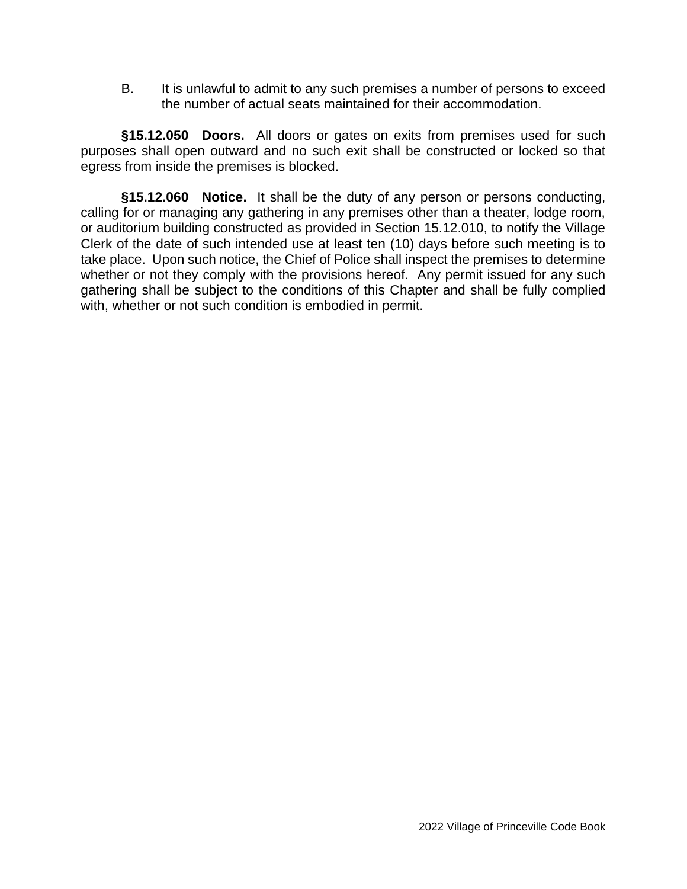B. It is unlawful to admit to any such premises a number of persons to exceed the number of actual seats maintained for their accommodation.

**§15.12.050 Doors.** All doors or gates on exits from premises used for such purposes shall open outward and no such exit shall be constructed or locked so that egress from inside the premises is blocked.

**§15.12.060 Notice.** It shall be the duty of any person or persons conducting, calling for or managing any gathering in any premises other than a theater, lodge room, or auditorium building constructed as provided in Section 15.12.010, to notify the Village Clerk of the date of such intended use at least ten (10) days before such meeting is to take place. Upon such notice, the Chief of Police shall inspect the premises to determine whether or not they comply with the provisions hereof. Any permit issued for any such gathering shall be subject to the conditions of this Chapter and shall be fully complied with, whether or not such condition is embodied in permit.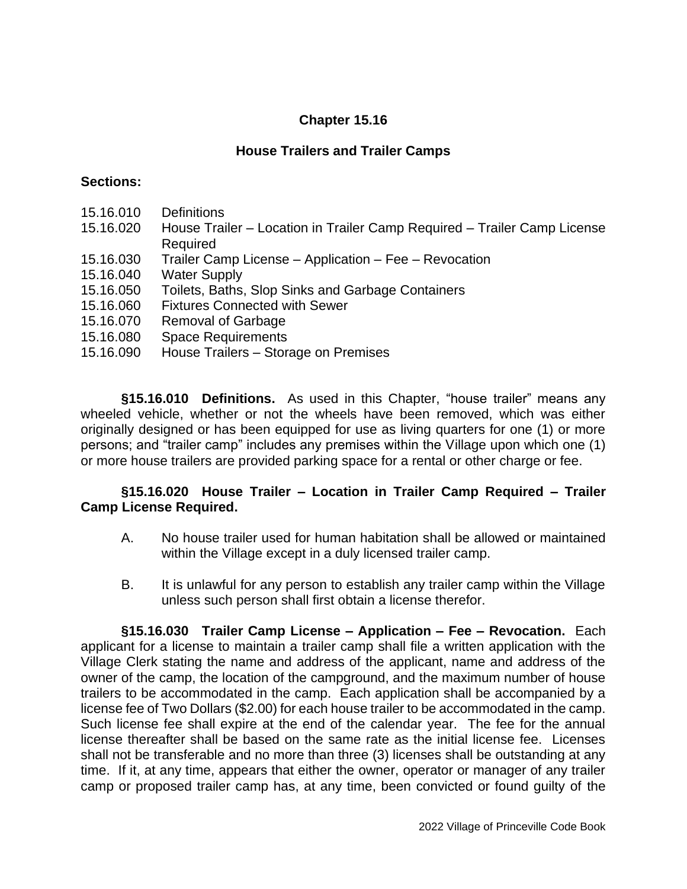## **Chapter 15.16**

### **House Trailers and Trailer Camps**

#### **Sections:**

- 15.16.010 Definitions
- 15.16.020 House Trailer Location in Trailer Camp Required Trailer Camp License Required
- 15.16.030 Trailer Camp License Application Fee Revocation
- 15.16.040 Water Supply
- 15.16.050 Toilets, Baths, Slop Sinks and Garbage Containers
- 15.16.060 Fixtures Connected with Sewer
- 15.16.070 Removal of Garbage
- 15.16.080 Space Requirements
- 15.16.090 House Trailers Storage on Premises

**§15.16.010 Definitions.** As used in this Chapter, "house trailer" means any wheeled vehicle, whether or not the wheels have been removed, which was either originally designed or has been equipped for use as living quarters for one (1) or more persons; and "trailer camp" includes any premises within the Village upon which one (1) or more house trailers are provided parking space for a rental or other charge or fee.

### **§15.16.020 House Trailer – Location in Trailer Camp Required – Trailer Camp License Required.**

- A. No house trailer used for human habitation shall be allowed or maintained within the Village except in a duly licensed trailer camp.
- B. It is unlawful for any person to establish any trailer camp within the Village unless such person shall first obtain a license therefor.

**§15.16.030 Trailer Camp License – Application – Fee – Revocation.** Each applicant for a license to maintain a trailer camp shall file a written application with the Village Clerk stating the name and address of the applicant, name and address of the owner of the camp, the location of the campground, and the maximum number of house trailers to be accommodated in the camp. Each application shall be accompanied by a license fee of Two Dollars (\$2.00) for each house trailer to be accommodated in the camp. Such license fee shall expire at the end of the calendar year. The fee for the annual license thereafter shall be based on the same rate as the initial license fee. Licenses shall not be transferable and no more than three (3) licenses shall be outstanding at any time. If it, at any time, appears that either the owner, operator or manager of any trailer camp or proposed trailer camp has, at any time, been convicted or found guilty of the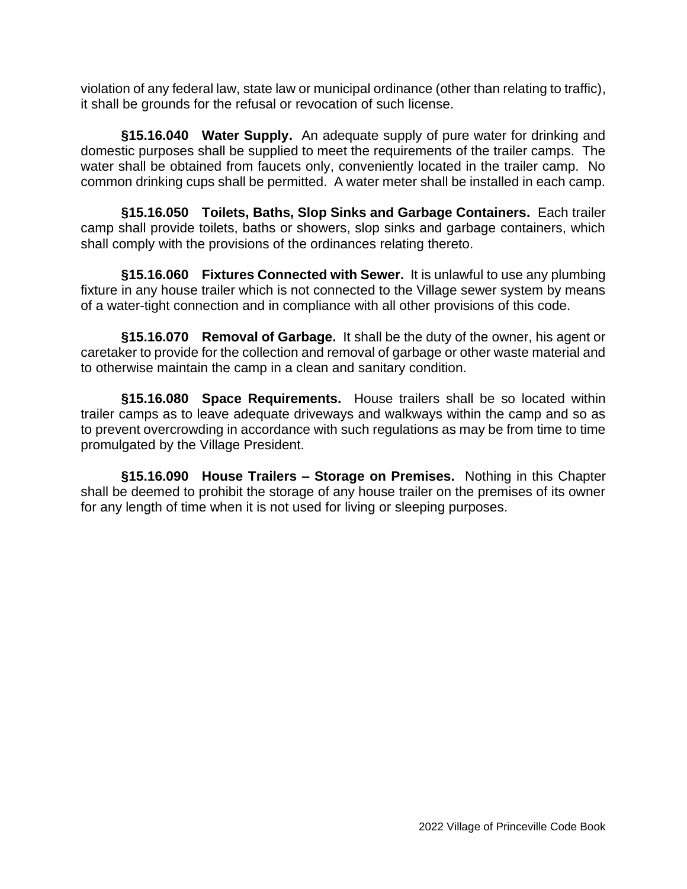violation of any federal law, state law or municipal ordinance (other than relating to traffic), it shall be grounds for the refusal or revocation of such license.

**§15.16.040 Water Supply.** An adequate supply of pure water for drinking and domestic purposes shall be supplied to meet the requirements of the trailer camps. The water shall be obtained from faucets only, conveniently located in the trailer camp. No common drinking cups shall be permitted. A water meter shall be installed in each camp.

**§15.16.050 Toilets, Baths, Slop Sinks and Garbage Containers.** Each trailer camp shall provide toilets, baths or showers, slop sinks and garbage containers, which shall comply with the provisions of the ordinances relating thereto.

**§15.16.060 Fixtures Connected with Sewer.** It is unlawful to use any plumbing fixture in any house trailer which is not connected to the Village sewer system by means of a water-tight connection and in compliance with all other provisions of this code.

**§15.16.070 Removal of Garbage.** It shall be the duty of the owner, his agent or caretaker to provide for the collection and removal of garbage or other waste material and to otherwise maintain the camp in a clean and sanitary condition.

**§15.16.080 Space Requirements.** House trailers shall be so located within trailer camps as to leave adequate driveways and walkways within the camp and so as to prevent overcrowding in accordance with such regulations as may be from time to time promulgated by the Village President.

**§15.16.090 House Trailers – Storage on Premises.** Nothing in this Chapter shall be deemed to prohibit the storage of any house trailer on the premises of its owner for any length of time when it is not used for living or sleeping purposes.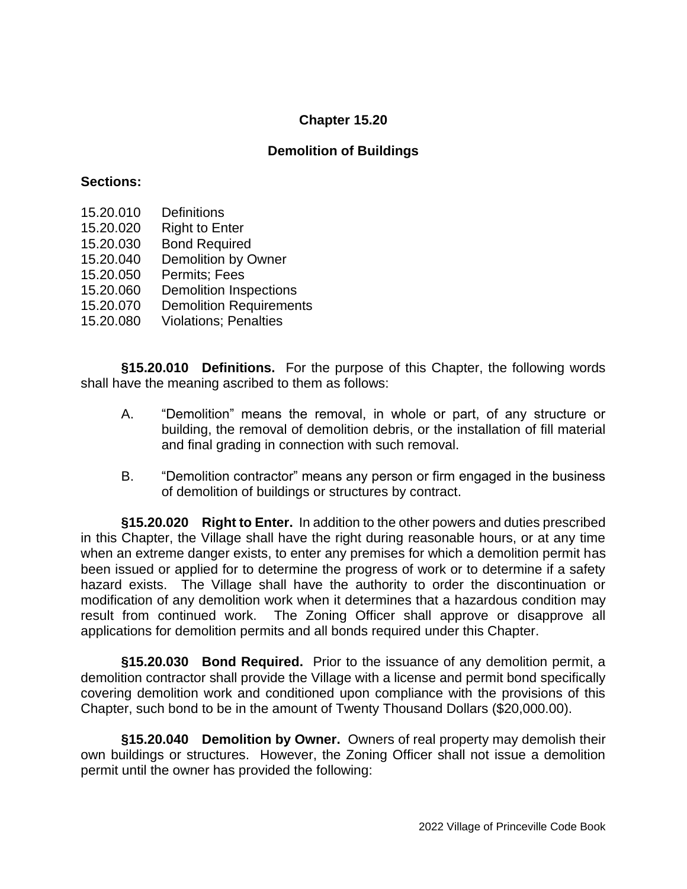## **Chapter 15.20**

### **Demolition of Buildings**

#### **Sections:**

- 15.20.010 Definitions
- 15.20.020 Right to Enter
- 15.20.030 Bond Required
- 15.20.040 Demolition by Owner
- 15.20.050 Permits; Fees
- 15.20.060 Demolition Inspections
- 15.20.070 Demolition Requirements
- 15.20.080 Violations; Penalties

**§15.20.010 Definitions.** For the purpose of this Chapter, the following words shall have the meaning ascribed to them as follows:

- A. "Demolition" means the removal, in whole or part, of any structure or building, the removal of demolition debris, or the installation of fill material and final grading in connection with such removal.
- B. "Demolition contractor" means any person or firm engaged in the business of demolition of buildings or structures by contract.

**§15.20.020 Right to Enter.** In addition to the other powers and duties prescribed in this Chapter, the Village shall have the right during reasonable hours, or at any time when an extreme danger exists, to enter any premises for which a demolition permit has been issued or applied for to determine the progress of work or to determine if a safety hazard exists. The Village shall have the authority to order the discontinuation or modification of any demolition work when it determines that a hazardous condition may result from continued work. The Zoning Officer shall approve or disapprove all applications for demolition permits and all bonds required under this Chapter.

**§15.20.030 Bond Required.** Prior to the issuance of any demolition permit, a demolition contractor shall provide the Village with a license and permit bond specifically covering demolition work and conditioned upon compliance with the provisions of this Chapter, such bond to be in the amount of Twenty Thousand Dollars (\$20,000.00).

**§15.20.040 Demolition by Owner.** Owners of real property may demolish their own buildings or structures. However, the Zoning Officer shall not issue a demolition permit until the owner has provided the following: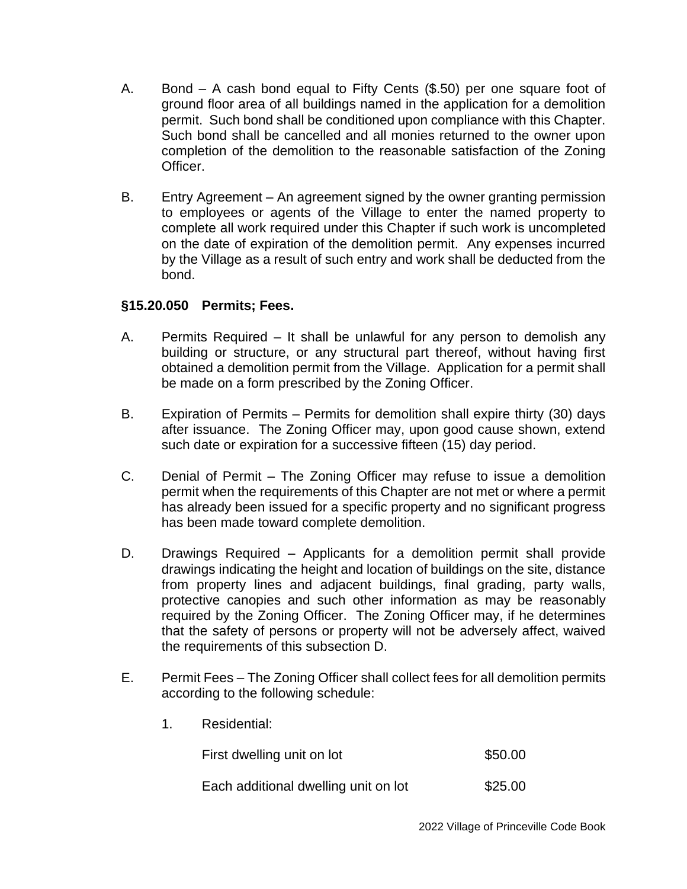- A. Bond A cash bond equal to Fifty Cents (\$.50) per one square foot of ground floor area of all buildings named in the application for a demolition permit. Such bond shall be conditioned upon compliance with this Chapter. Such bond shall be cancelled and all monies returned to the owner upon completion of the demolition to the reasonable satisfaction of the Zoning Officer.
- B. Entry Agreement An agreement signed by the owner granting permission to employees or agents of the Village to enter the named property to complete all work required under this Chapter if such work is uncompleted on the date of expiration of the demolition permit. Any expenses incurred by the Village as a result of such entry and work shall be deducted from the bond.

## **§15.20.050 Permits; Fees.**

- A. Permits Required It shall be unlawful for any person to demolish any building or structure, or any structural part thereof, without having first obtained a demolition permit from the Village. Application for a permit shall be made on a form prescribed by the Zoning Officer.
- B. Expiration of Permits Permits for demolition shall expire thirty (30) days after issuance. The Zoning Officer may, upon good cause shown, extend such date or expiration for a successive fifteen (15) day period.
- C. Denial of Permit The Zoning Officer may refuse to issue a demolition permit when the requirements of this Chapter are not met or where a permit has already been issued for a specific property and no significant progress has been made toward complete demolition.
- D. Drawings Required Applicants for a demolition permit shall provide drawings indicating the height and location of buildings on the site, distance from property lines and adjacent buildings, final grading, party walls, protective canopies and such other information as may be reasonably required by the Zoning Officer. The Zoning Officer may, if he determines that the safety of persons or property will not be adversely affect, waived the requirements of this subsection D.
- E. Permit Fees The Zoning Officer shall collect fees for all demolition permits according to the following schedule:
	- 1. Residential:

| First dwelling unit on lot           | \$50.00 |
|--------------------------------------|---------|
| Each additional dwelling unit on lot | \$25.00 |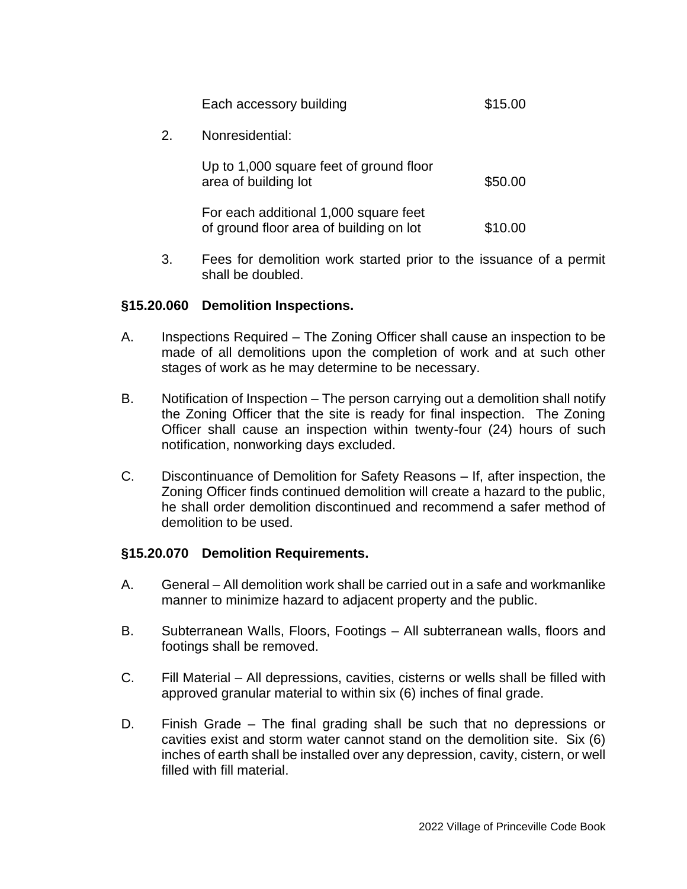|    | Each accessory building                                                          | \$15.00 |
|----|----------------------------------------------------------------------------------|---------|
| 2. | Nonresidential:                                                                  |         |
|    | Up to 1,000 square feet of ground floor<br>area of building lot                  | \$50.00 |
|    | For each additional 1,000 square feet<br>of ground floor area of building on lot | \$10.00 |

3. Fees for demolition work started prior to the issuance of a permit shall be doubled.

### **§15.20.060 Demolition Inspections.**

- A. Inspections Required The Zoning Officer shall cause an inspection to be made of all demolitions upon the completion of work and at such other stages of work as he may determine to be necessary.
- B. Notification of Inspection The person carrying out a demolition shall notify the Zoning Officer that the site is ready for final inspection. The Zoning Officer shall cause an inspection within twenty-four (24) hours of such notification, nonworking days excluded.
- C. Discontinuance of Demolition for Safety Reasons If, after inspection, the Zoning Officer finds continued demolition will create a hazard to the public, he shall order demolition discontinued and recommend a safer method of demolition to be used.

### **§15.20.070 Demolition Requirements.**

- A. General All demolition work shall be carried out in a safe and workmanlike manner to minimize hazard to adjacent property and the public.
- B. Subterranean Walls, Floors, Footings All subterranean walls, floors and footings shall be removed.
- C. Fill Material All depressions, cavities, cisterns or wells shall be filled with approved granular material to within six (6) inches of final grade.
- D. Finish Grade The final grading shall be such that no depressions or cavities exist and storm water cannot stand on the demolition site. Six (6) inches of earth shall be installed over any depression, cavity, cistern, or well filled with fill material.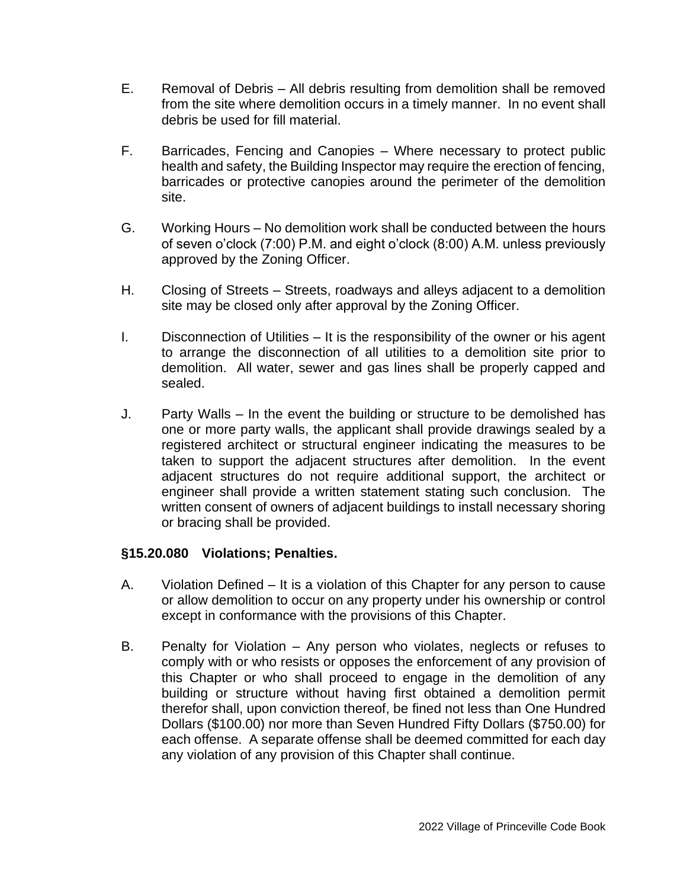- E. Removal of Debris All debris resulting from demolition shall be removed from the site where demolition occurs in a timely manner. In no event shall debris be used for fill material.
- F. Barricades, Fencing and Canopies Where necessary to protect public health and safety, the Building Inspector may require the erection of fencing, barricades or protective canopies around the perimeter of the demolition site.
- G. Working Hours No demolition work shall be conducted between the hours of seven o'clock (7:00) P.M. and eight o'clock (8:00) A.M. unless previously approved by the Zoning Officer.
- H. Closing of Streets Streets, roadways and alleys adjacent to a demolition site may be closed only after approval by the Zoning Officer.
- I. Disconnection of Utilities It is the responsibility of the owner or his agent to arrange the disconnection of all utilities to a demolition site prior to demolition. All water, sewer and gas lines shall be properly capped and sealed.
- J. Party Walls In the event the building or structure to be demolished has one or more party walls, the applicant shall provide drawings sealed by a registered architect or structural engineer indicating the measures to be taken to support the adjacent structures after demolition. In the event adjacent structures do not require additional support, the architect or engineer shall provide a written statement stating such conclusion. The written consent of owners of adjacent buildings to install necessary shoring or bracing shall be provided.

### **§15.20.080 Violations; Penalties.**

- A. Violation Defined It is a violation of this Chapter for any person to cause or allow demolition to occur on any property under his ownership or control except in conformance with the provisions of this Chapter.
- B. Penalty for Violation Any person who violates, neglects or refuses to comply with or who resists or opposes the enforcement of any provision of this Chapter or who shall proceed to engage in the demolition of any building or structure without having first obtained a demolition permit therefor shall, upon conviction thereof, be fined not less than One Hundred Dollars (\$100.00) nor more than Seven Hundred Fifty Dollars (\$750.00) for each offense. A separate offense shall be deemed committed for each day any violation of any provision of this Chapter shall continue.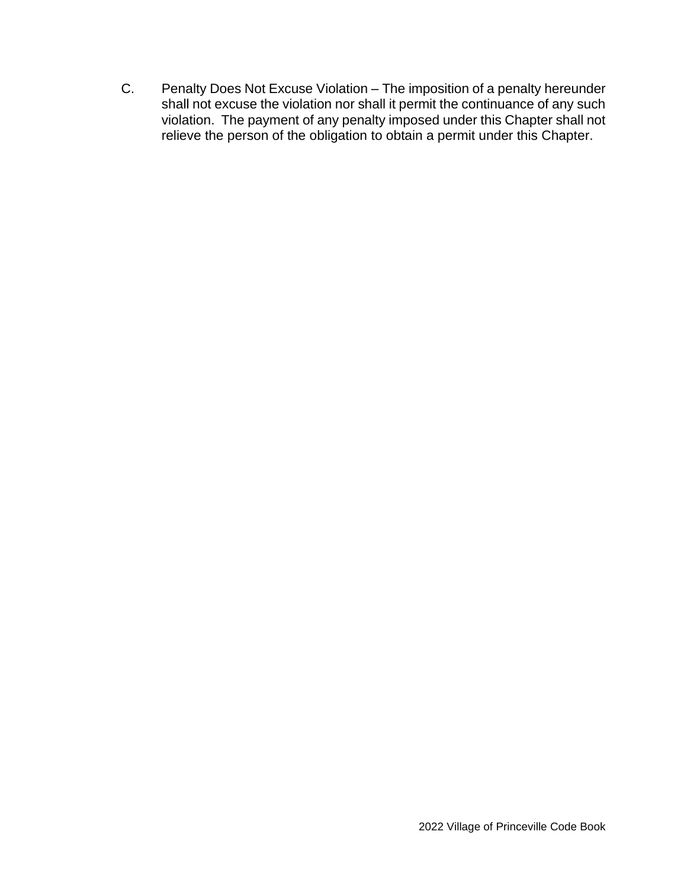C. Penalty Does Not Excuse Violation – The imposition of a penalty hereunder shall not excuse the violation nor shall it permit the continuance of any such violation. The payment of any penalty imposed under this Chapter shall not relieve the person of the obligation to obtain a permit under this Chapter.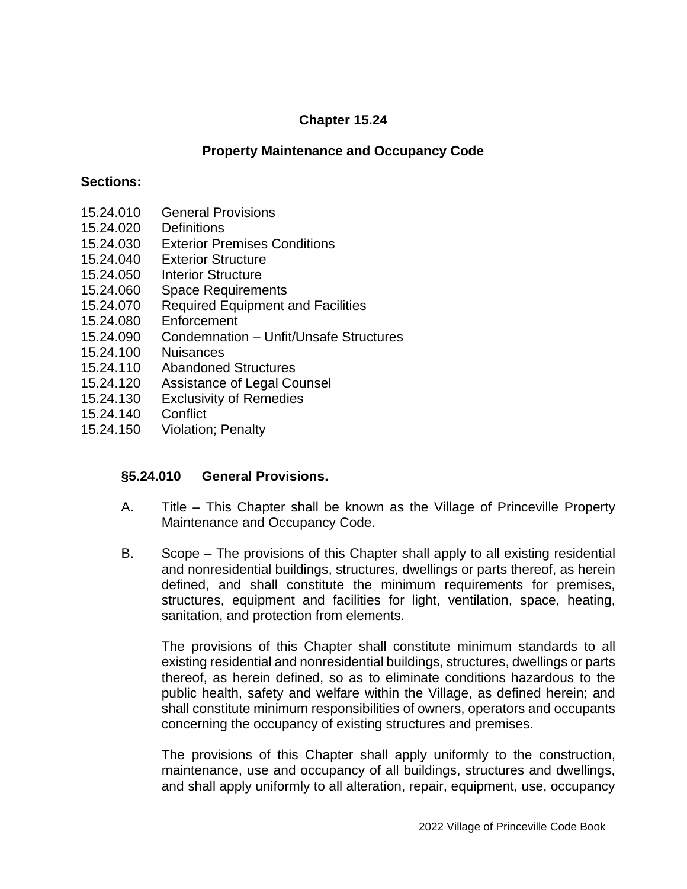## **Chapter 15.24**

### **Property Maintenance and Occupancy Code**

#### **Sections:**

- 15.24.010 General Provisions
- 15.24.020 Definitions
- 15.24.030 Exterior Premises Conditions
- 15.24.040 Exterior Structure
- 15.24.050 Interior Structure
- 15.24.060 Space Requirements
- 15.24.070 Required Equipment and Facilities
- 15.24.080 Enforcement
- 15.24.090 Condemnation Unfit/Unsafe Structures
- 15.24.100 Nuisances
- 15.24.110 Abandoned Structures
- 15.24.120 Assistance of Legal Counsel
- 15.24.130 Exclusivity of Remedies
- 15.24.140 Conflict
- 15.24.150 Violation; Penalty

### **§5.24.010 General Provisions.**

- A. Title This Chapter shall be known as the Village of Princeville Property Maintenance and Occupancy Code.
- B. Scope The provisions of this Chapter shall apply to all existing residential and nonresidential buildings, structures, dwellings or parts thereof, as herein defined, and shall constitute the minimum requirements for premises, structures, equipment and facilities for light, ventilation, space, heating, sanitation, and protection from elements.

The provisions of this Chapter shall constitute minimum standards to all existing residential and nonresidential buildings, structures, dwellings or parts thereof, as herein defined, so as to eliminate conditions hazardous to the public health, safety and welfare within the Village, as defined herein; and shall constitute minimum responsibilities of owners, operators and occupants concerning the occupancy of existing structures and premises.

The provisions of this Chapter shall apply uniformly to the construction, maintenance, use and occupancy of all buildings, structures and dwellings, and shall apply uniformly to all alteration, repair, equipment, use, occupancy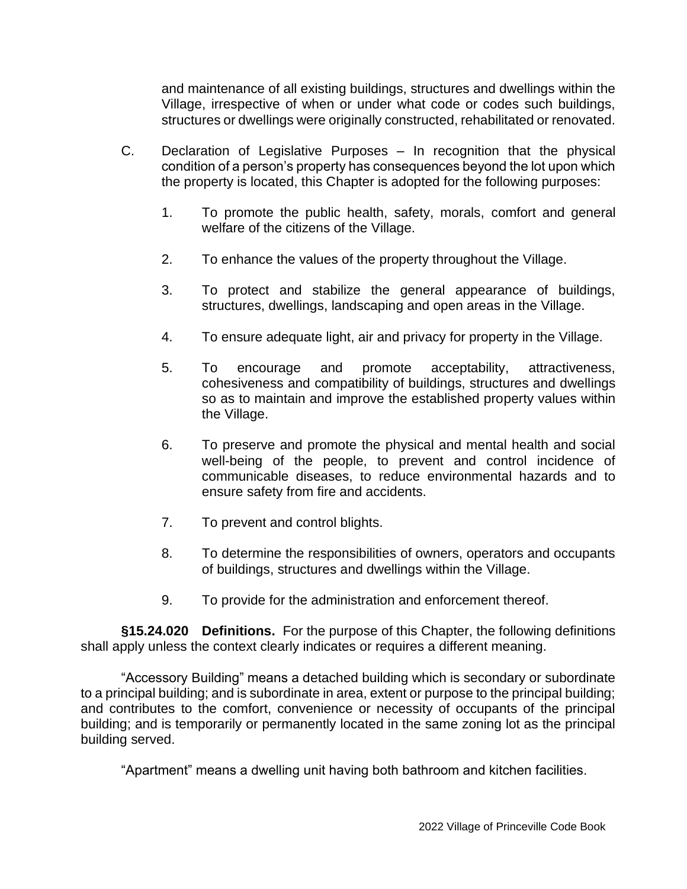and maintenance of all existing buildings, structures and dwellings within the Village, irrespective of when or under what code or codes such buildings, structures or dwellings were originally constructed, rehabilitated or renovated.

- C. Declaration of Legislative Purposes In recognition that the physical condition of a person's property has consequences beyond the lot upon which the property is located, this Chapter is adopted for the following purposes:
	- 1. To promote the public health, safety, morals, comfort and general welfare of the citizens of the Village.
	- 2. To enhance the values of the property throughout the Village.
	- 3. To protect and stabilize the general appearance of buildings, structures, dwellings, landscaping and open areas in the Village.
	- 4. To ensure adequate light, air and privacy for property in the Village.
	- 5. To encourage and promote acceptability, attractiveness, cohesiveness and compatibility of buildings, structures and dwellings so as to maintain and improve the established property values within the Village.
	- 6. To preserve and promote the physical and mental health and social well-being of the people, to prevent and control incidence of communicable diseases, to reduce environmental hazards and to ensure safety from fire and accidents.
	- 7. To prevent and control blights.
	- 8. To determine the responsibilities of owners, operators and occupants of buildings, structures and dwellings within the Village.
	- 9. To provide for the administration and enforcement thereof.

**§15.24.020 Definitions.** For the purpose of this Chapter, the following definitions shall apply unless the context clearly indicates or requires a different meaning.

"Accessory Building" means a detached building which is secondary or subordinate to a principal building; and is subordinate in area, extent or purpose to the principal building; and contributes to the comfort, convenience or necessity of occupants of the principal building; and is temporarily or permanently located in the same zoning lot as the principal building served.

"Apartment" means a dwelling unit having both bathroom and kitchen facilities.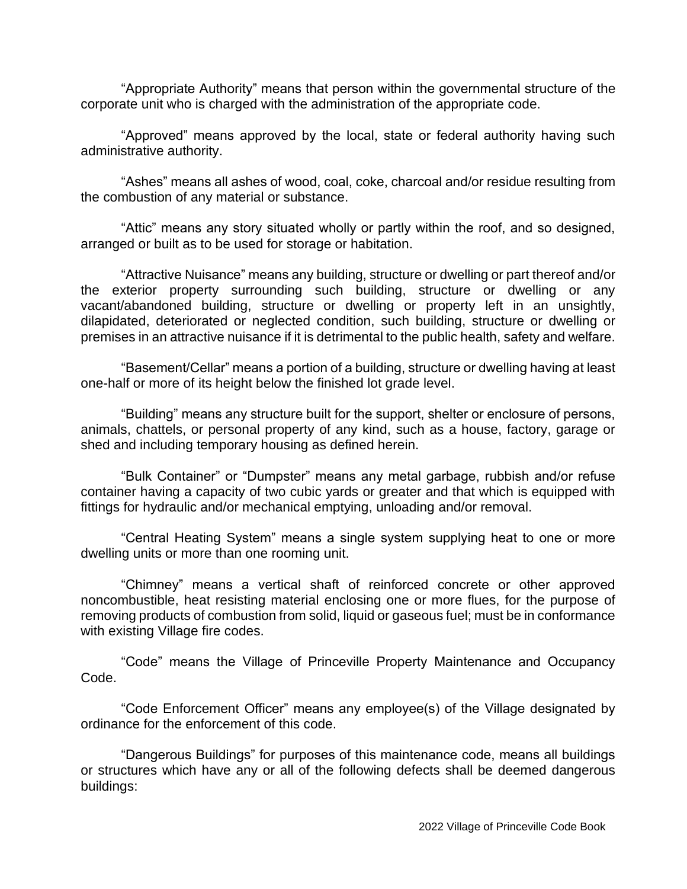"Appropriate Authority" means that person within the governmental structure of the corporate unit who is charged with the administration of the appropriate code.

"Approved" means approved by the local, state or federal authority having such administrative authority.

"Ashes" means all ashes of wood, coal, coke, charcoal and/or residue resulting from the combustion of any material or substance.

"Attic" means any story situated wholly or partly within the roof, and so designed, arranged or built as to be used for storage or habitation.

"Attractive Nuisance" means any building, structure or dwelling or part thereof and/or the exterior property surrounding such building, structure or dwelling or any vacant/abandoned building, structure or dwelling or property left in an unsightly, dilapidated, deteriorated or neglected condition, such building, structure or dwelling or premises in an attractive nuisance if it is detrimental to the public health, safety and welfare.

"Basement/Cellar" means a portion of a building, structure or dwelling having at least one-half or more of its height below the finished lot grade level.

"Building" means any structure built for the support, shelter or enclosure of persons, animals, chattels, or personal property of any kind, such as a house, factory, garage or shed and including temporary housing as defined herein.

"Bulk Container" or "Dumpster" means any metal garbage, rubbish and/or refuse container having a capacity of two cubic yards or greater and that which is equipped with fittings for hydraulic and/or mechanical emptying, unloading and/or removal.

"Central Heating System" means a single system supplying heat to one or more dwelling units or more than one rooming unit.

"Chimney" means a vertical shaft of reinforced concrete or other approved noncombustible, heat resisting material enclosing one or more flues, for the purpose of removing products of combustion from solid, liquid or gaseous fuel; must be in conformance with existing Village fire codes.

"Code" means the Village of Princeville Property Maintenance and Occupancy Code.

"Code Enforcement Officer" means any employee(s) of the Village designated by ordinance for the enforcement of this code.

"Dangerous Buildings" for purposes of this maintenance code, means all buildings or structures which have any or all of the following defects shall be deemed dangerous buildings: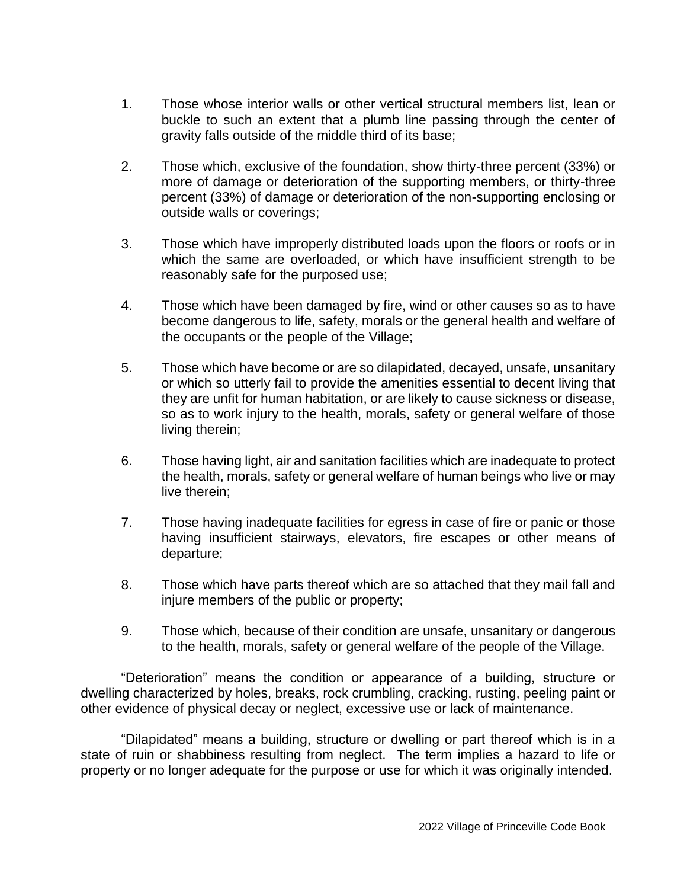- 1. Those whose interior walls or other vertical structural members list, lean or buckle to such an extent that a plumb line passing through the center of gravity falls outside of the middle third of its base;
- 2. Those which, exclusive of the foundation, show thirty-three percent (33%) or more of damage or deterioration of the supporting members, or thirty-three percent (33%) of damage or deterioration of the non-supporting enclosing or outside walls or coverings;
- 3. Those which have improperly distributed loads upon the floors or roofs or in which the same are overloaded, or which have insufficient strength to be reasonably safe for the purposed use;
- 4. Those which have been damaged by fire, wind or other causes so as to have become dangerous to life, safety, morals or the general health and welfare of the occupants or the people of the Village;
- 5. Those which have become or are so dilapidated, decayed, unsafe, unsanitary or which so utterly fail to provide the amenities essential to decent living that they are unfit for human habitation, or are likely to cause sickness or disease, so as to work injury to the health, morals, safety or general welfare of those living therein;
- 6. Those having light, air and sanitation facilities which are inadequate to protect the health, morals, safety or general welfare of human beings who live or may live therein;
- 7. Those having inadequate facilities for egress in case of fire or panic or those having insufficient stairways, elevators, fire escapes or other means of departure;
- 8. Those which have parts thereof which are so attached that they mail fall and injure members of the public or property;
- 9. Those which, because of their condition are unsafe, unsanitary or dangerous to the health, morals, safety or general welfare of the people of the Village.

"Deterioration" means the condition or appearance of a building, structure or dwelling characterized by holes, breaks, rock crumbling, cracking, rusting, peeling paint or other evidence of physical decay or neglect, excessive use or lack of maintenance.

"Dilapidated" means a building, structure or dwelling or part thereof which is in a state of ruin or shabbiness resulting from neglect. The term implies a hazard to life or property or no longer adequate for the purpose or use for which it was originally intended.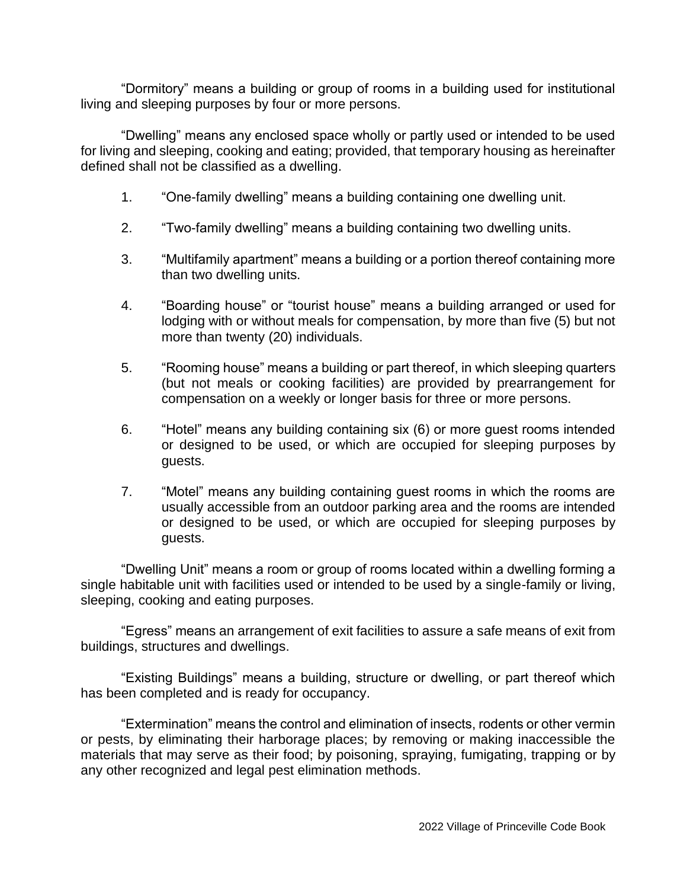"Dormitory" means a building or group of rooms in a building used for institutional living and sleeping purposes by four or more persons.

"Dwelling" means any enclosed space wholly or partly used or intended to be used for living and sleeping, cooking and eating; provided, that temporary housing as hereinafter defined shall not be classified as a dwelling.

- 1. "One-family dwelling" means a building containing one dwelling unit.
- 2. "Two-family dwelling" means a building containing two dwelling units.
- 3. "Multifamily apartment" means a building or a portion thereof containing more than two dwelling units.
- 4. "Boarding house" or "tourist house" means a building arranged or used for lodging with or without meals for compensation, by more than five (5) but not more than twenty (20) individuals.
- 5. "Rooming house" means a building or part thereof, in which sleeping quarters (but not meals or cooking facilities) are provided by prearrangement for compensation on a weekly or longer basis for three or more persons.
- 6. "Hotel" means any building containing six (6) or more guest rooms intended or designed to be used, or which are occupied for sleeping purposes by guests.
- 7. "Motel" means any building containing guest rooms in which the rooms are usually accessible from an outdoor parking area and the rooms are intended or designed to be used, or which are occupied for sleeping purposes by guests.

"Dwelling Unit" means a room or group of rooms located within a dwelling forming a single habitable unit with facilities used or intended to be used by a single-family or living, sleeping, cooking and eating purposes.

"Egress" means an arrangement of exit facilities to assure a safe means of exit from buildings, structures and dwellings.

"Existing Buildings" means a building, structure or dwelling, or part thereof which has been completed and is ready for occupancy.

"Extermination" means the control and elimination of insects, rodents or other vermin or pests, by eliminating their harborage places; by removing or making inaccessible the materials that may serve as their food; by poisoning, spraying, fumigating, trapping or by any other recognized and legal pest elimination methods.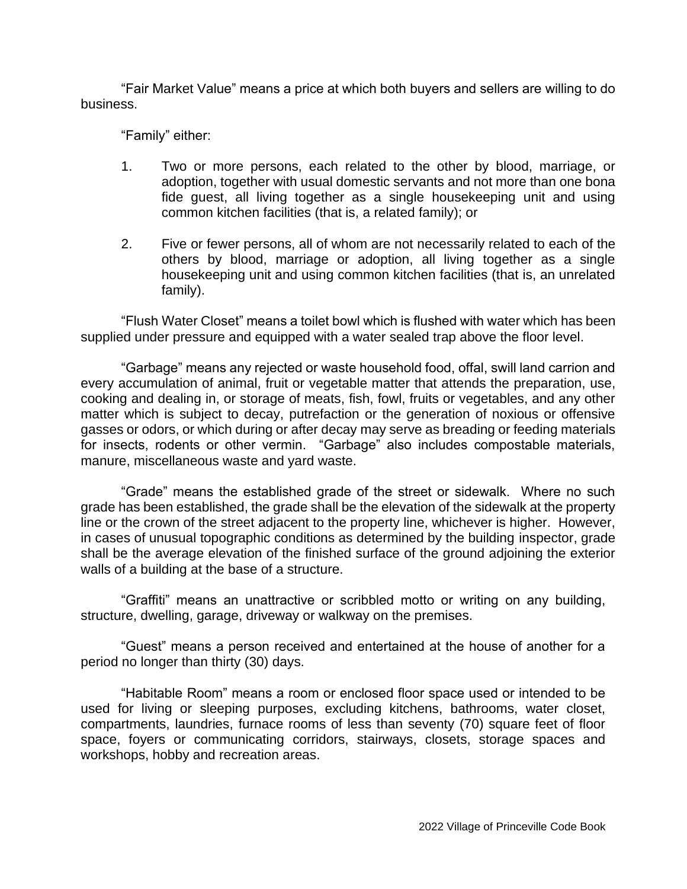"Fair Market Value" means a price at which both buyers and sellers are willing to do business.

"Family" either:

- 1. Two or more persons, each related to the other by blood, marriage, or adoption, together with usual domestic servants and not more than one bona fide guest, all living together as a single housekeeping unit and using common kitchen facilities (that is, a related family); or
- 2. Five or fewer persons, all of whom are not necessarily related to each of the others by blood, marriage or adoption, all living together as a single housekeeping unit and using common kitchen facilities (that is, an unrelated family).

"Flush Water Closet" means a toilet bowl which is flushed with water which has been supplied under pressure and equipped with a water sealed trap above the floor level.

"Garbage" means any rejected or waste household food, offal, swill land carrion and every accumulation of animal, fruit or vegetable matter that attends the preparation, use, cooking and dealing in, or storage of meats, fish, fowl, fruits or vegetables, and any other matter which is subject to decay, putrefaction or the generation of noxious or offensive gasses or odors, or which during or after decay may serve as breading or feeding materials for insects, rodents or other vermin. "Garbage" also includes compostable materials, manure, miscellaneous waste and yard waste.

"Grade" means the established grade of the street or sidewalk. Where no such grade has been established, the grade shall be the elevation of the sidewalk at the property line or the crown of the street adjacent to the property line, whichever is higher. However, in cases of unusual topographic conditions as determined by the building inspector, grade shall be the average elevation of the finished surface of the ground adjoining the exterior walls of a building at the base of a structure.

"Graffiti" means an unattractive or scribbled motto or writing on any building, structure, dwelling, garage, driveway or walkway on the premises.

"Guest" means a person received and entertained at the house of another for a period no longer than thirty (30) days.

"Habitable Room" means a room or enclosed floor space used or intended to be used for living or sleeping purposes, excluding kitchens, bathrooms, water closet, compartments, laundries, furnace rooms of less than seventy (70) square feet of floor space, foyers or communicating corridors, stairways, closets, storage spaces and workshops, hobby and recreation areas.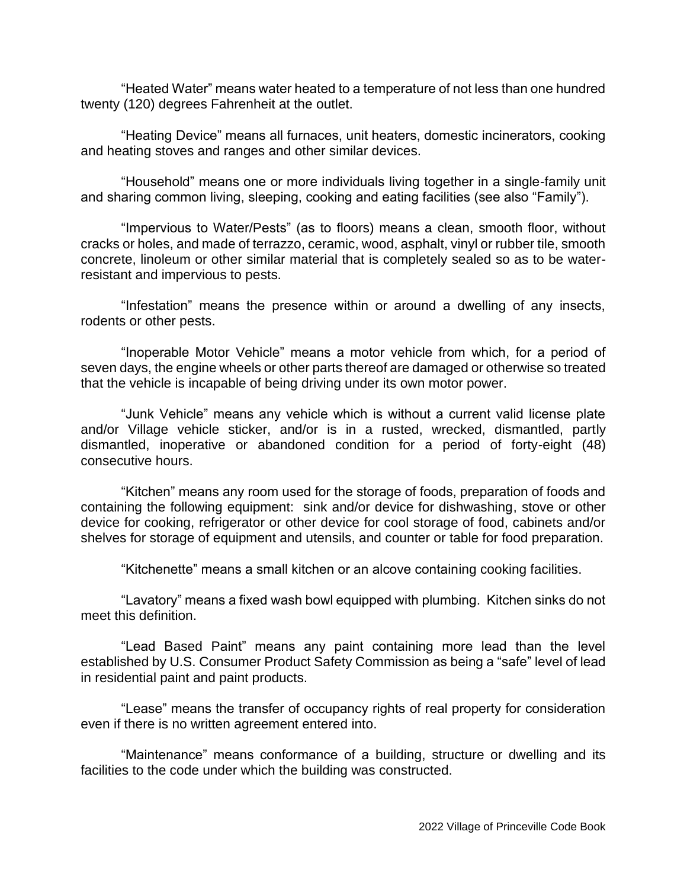"Heated Water" means water heated to a temperature of not less than one hundred twenty (120) degrees Fahrenheit at the outlet.

"Heating Device" means all furnaces, unit heaters, domestic incinerators, cooking and heating stoves and ranges and other similar devices.

"Household" means one or more individuals living together in a single-family unit and sharing common living, sleeping, cooking and eating facilities (see also "Family").

"Impervious to Water/Pests" (as to floors) means a clean, smooth floor, without cracks or holes, and made of terrazzo, ceramic, wood, asphalt, vinyl or rubber tile, smooth concrete, linoleum or other similar material that is completely sealed so as to be waterresistant and impervious to pests.

"Infestation" means the presence within or around a dwelling of any insects, rodents or other pests.

"Inoperable Motor Vehicle" means a motor vehicle from which, for a period of seven days, the engine wheels or other parts thereof are damaged or otherwise so treated that the vehicle is incapable of being driving under its own motor power.

"Junk Vehicle" means any vehicle which is without a current valid license plate and/or Village vehicle sticker, and/or is in a rusted, wrecked, dismantled, partly dismantled, inoperative or abandoned condition for a period of forty-eight (48) consecutive hours.

"Kitchen" means any room used for the storage of foods, preparation of foods and containing the following equipment: sink and/or device for dishwashing, stove or other device for cooking, refrigerator or other device for cool storage of food, cabinets and/or shelves for storage of equipment and utensils, and counter or table for food preparation.

"Kitchenette" means a small kitchen or an alcove containing cooking facilities.

"Lavatory" means a fixed wash bowl equipped with plumbing. Kitchen sinks do not meet this definition.

"Lead Based Paint" means any paint containing more lead than the level established by U.S. Consumer Product Safety Commission as being a "safe" level of lead in residential paint and paint products.

"Lease" means the transfer of occupancy rights of real property for consideration even if there is no written agreement entered into.

"Maintenance" means conformance of a building, structure or dwelling and its facilities to the code under which the building was constructed.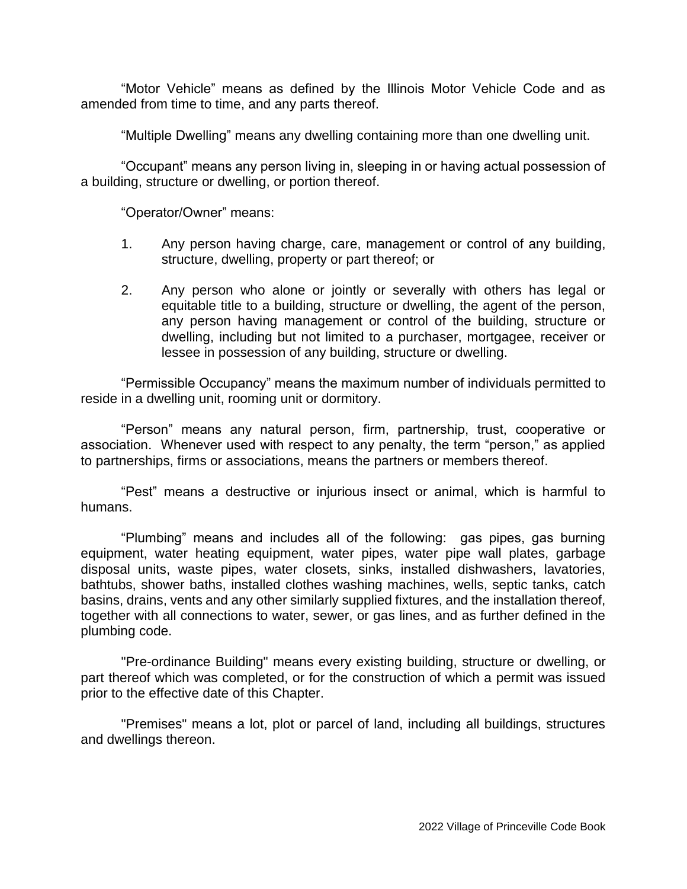"Motor Vehicle" means as defined by the Illinois Motor Vehicle Code and as amended from time to time, and any parts thereof.

"Multiple Dwelling" means any dwelling containing more than one dwelling unit.

"Occupant" means any person living in, sleeping in or having actual possession of a building, structure or dwelling, or portion thereof.

"Operator/Owner" means:

- 1. Any person having charge, care, management or control of any building, structure, dwelling, property or part thereof; or
- 2. Any person who alone or jointly or severally with others has legal or equitable title to a building, structure or dwelling, the agent of the person, any person having management or control of the building, structure or dwelling, including but not limited to a purchaser, mortgagee, receiver or lessee in possession of any building, structure or dwelling.

"Permissible Occupancy" means the maximum number of individuals permitted to reside in a dwelling unit, rooming unit or dormitory.

"Person" means any natural person, firm, partnership, trust, cooperative or association. Whenever used with respect to any penalty, the term "person," as applied to partnerships, firms or associations, means the partners or members thereof.

"Pest" means a destructive or injurious insect or animal, which is harmful to humans.

"Plumbing" means and includes all of the following: gas pipes, gas burning equipment, water heating equipment, water pipes, water pipe wall plates, garbage disposal units, waste pipes, water closets, sinks, installed dishwashers, lavatories, bathtubs, shower baths, installed clothes washing machines, wells, septic tanks, catch basins, drains, vents and any other similarly supplied fixtures, and the installation thereof, together with all connections to water, sewer, or gas lines, and as further defined in the plumbing code.

"Pre-ordinance Building" means every existing building, structure or dwelling, or part thereof which was completed, or for the construction of which a permit was issued prior to the effective date of this Chapter.

"Premises" means a lot, plot or parcel of land, including all buildings, structures and dwellings thereon.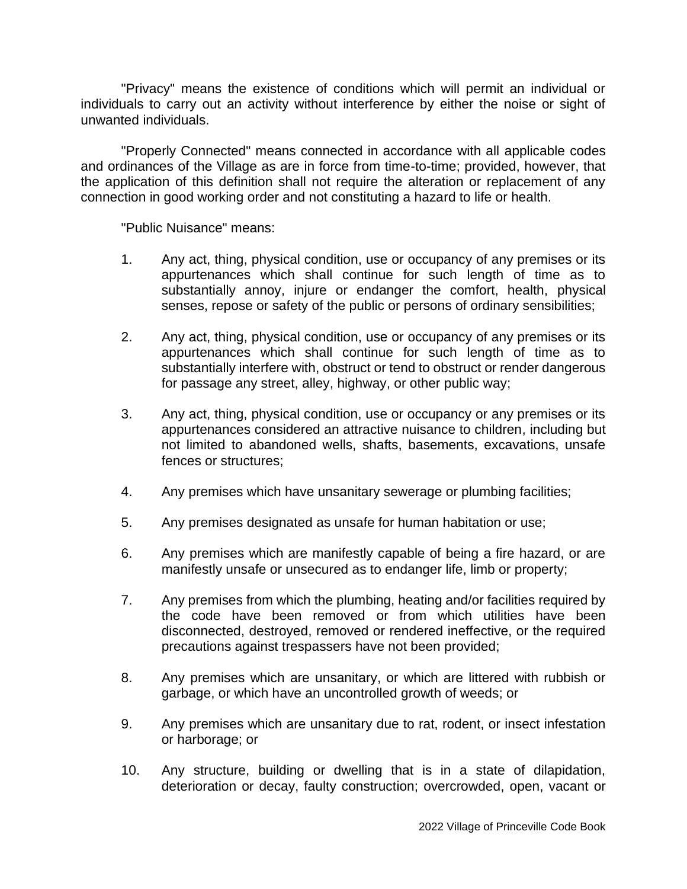"Privacy" means the existence of conditions which will permit an individual or individuals to carry out an activity without interference by either the noise or sight of unwanted individuals.

"Properly Connected" means connected in accordance with all applicable codes and ordinances of the Village as are in force from time-to-time; provided, however, that the application of this definition shall not require the alteration or replacement of any connection in good working order and not constituting a hazard to life or health.

"Public Nuisance" means:

- 1. Any act, thing, physical condition, use or occupancy of any premises or its appurtenances which shall continue for such length of time as to substantially annoy, injure or endanger the comfort, health, physical senses, repose or safety of the public or persons of ordinary sensibilities;
- 2. Any act, thing, physical condition, use or occupancy of any premises or its appurtenances which shall continue for such length of time as to substantially interfere with, obstruct or tend to obstruct or render dangerous for passage any street, alley, highway, or other public way;
- 3. Any act, thing, physical condition, use or occupancy or any premises or its appurtenances considered an attractive nuisance to children, including but not limited to abandoned wells, shafts, basements, excavations, unsafe fences or structures;
- 4. Any premises which have unsanitary sewerage or plumbing facilities;
- 5. Any premises designated as unsafe for human habitation or use;
- 6. Any premises which are manifestly capable of being a fire hazard, or are manifestly unsafe or unsecured as to endanger life, limb or property;
- 7. Any premises from which the plumbing, heating and/or facilities required by the code have been removed or from which utilities have been disconnected, destroyed, removed or rendered ineffective, or the required precautions against trespassers have not been provided;
- 8. Any premises which are unsanitary, or which are littered with rubbish or garbage, or which have an uncontrolled growth of weeds; or
- 9. Any premises which are unsanitary due to rat, rodent, or insect infestation or harborage; or
- 10. Any structure, building or dwelling that is in a state of dilapidation, deterioration or decay, faulty construction; overcrowded, open, vacant or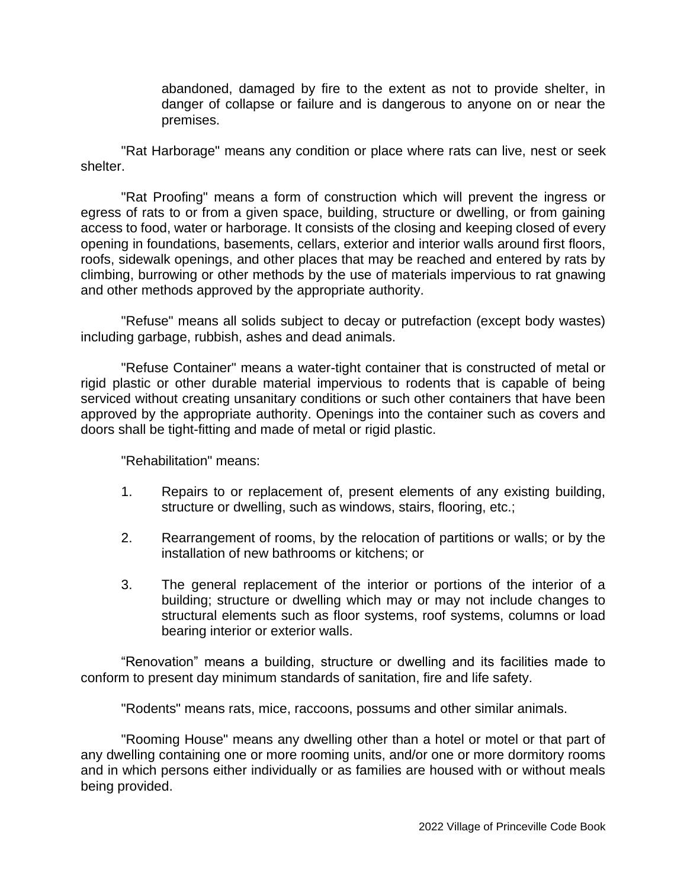abandoned, damaged by fire to the extent as not to provide shelter, in danger of collapse or failure and is dangerous to anyone on or near the premises.

"Rat Harborage" means any condition or place where rats can live, nest or seek shelter.

"Rat Proofing" means a form of construction which will prevent the ingress or egress of rats to or from a given space, building, structure or dwelling, or from gaining access to food, water or harborage. It consists of the closing and keeping closed of every opening in foundations, basements, cellars, exterior and interior walls around first floors, roofs, sidewalk openings, and other places that may be reached and entered by rats by climbing, burrowing or other methods by the use of materials impervious to rat gnawing and other methods approved by the appropriate authority.

"Refuse" means all solids subject to decay or putrefaction (except body wastes) including garbage, rubbish, ashes and dead animals.

"Refuse Container" means a water-tight container that is constructed of metal or rigid plastic or other durable material impervious to rodents that is capable of being serviced without creating unsanitary conditions or such other containers that have been approved by the appropriate authority. Openings into the container such as covers and doors shall be tight-fitting and made of metal or rigid plastic.

"Rehabilitation" means:

- 1. Repairs to or replacement of, present elements of any existing building, structure or dwelling, such as windows, stairs, flooring, etc.;
- 2. Rearrangement of rooms, by the relocation of partitions or walls; or by the installation of new bathrooms or kitchens; or
- 3. The general replacement of the interior or portions of the interior of a building; structure or dwelling which may or may not include changes to structural elements such as floor systems, roof systems, columns or load bearing interior or exterior walls.

"Renovation" means a building, structure or dwelling and its facilities made to conform to present day minimum standards of sanitation, fire and life safety.

"Rodents" means rats, mice, raccoons, possums and other similar animals.

"Rooming House" means any dwelling other than a hotel or motel or that part of any dwelling containing one or more rooming units, and/or one or more dormitory rooms and in which persons either individually or as families are housed with or without meals being provided.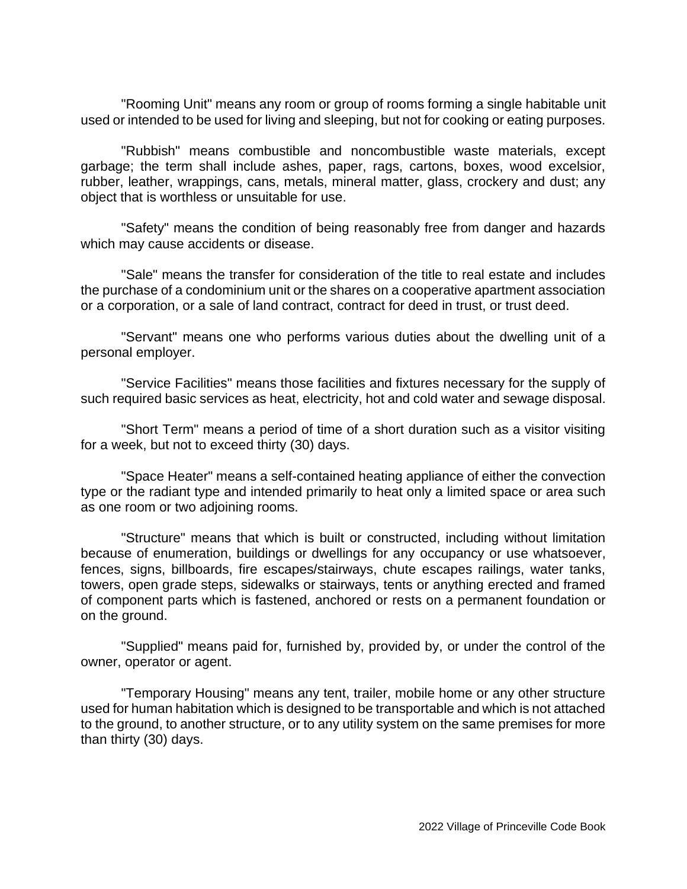"Rooming Unit" means any room or group of rooms forming a single habitable unit used or intended to be used for living and sleeping, but not for cooking or eating purposes.

"Rubbish" means combustible and noncombustible waste materials, except garbage; the term shall include ashes, paper, rags, cartons, boxes, wood excelsior, rubber, leather, wrappings, cans, metals, mineral matter, glass, crockery and dust; any object that is worthless or unsuitable for use.

"Safety" means the condition of being reasonably free from danger and hazards which may cause accidents or disease.

"Sale" means the transfer for consideration of the title to real estate and includes the purchase of a condominium unit or the shares on a cooperative apartment association or a corporation, or a sale of land contract, contract for deed in trust, or trust deed.

"Servant" means one who performs various duties about the dwelling unit of a personal employer.

"Service Facilities" means those facilities and fixtures necessary for the supply of such required basic services as heat, electricity, hot and cold water and sewage disposal.

"Short Term" means a period of time of a short duration such as a visitor visiting for a week, but not to exceed thirty (30) days.

"Space Heater" means a self-contained heating appliance of either the convection type or the radiant type and intended primarily to heat only a limited space or area such as one room or two adjoining rooms.

"Structure" means that which is built or constructed, including without limitation because of enumeration, buildings or dwellings for any occupancy or use whatsoever, fences, signs, billboards, fire escapes/stairways, chute escapes railings, water tanks, towers, open grade steps, sidewalks or stairways, tents or anything erected and framed of component parts which is fastened, anchored or rests on a permanent foundation or on the ground.

"Supplied" means paid for, furnished by, provided by, or under the control of the owner, operator or agent.

"Temporary Housing" means any tent, trailer, mobile home or any other structure used for human habitation which is designed to be transportable and which is not attached to the ground, to another structure, or to any utility system on the same premises for more than thirty (30) days.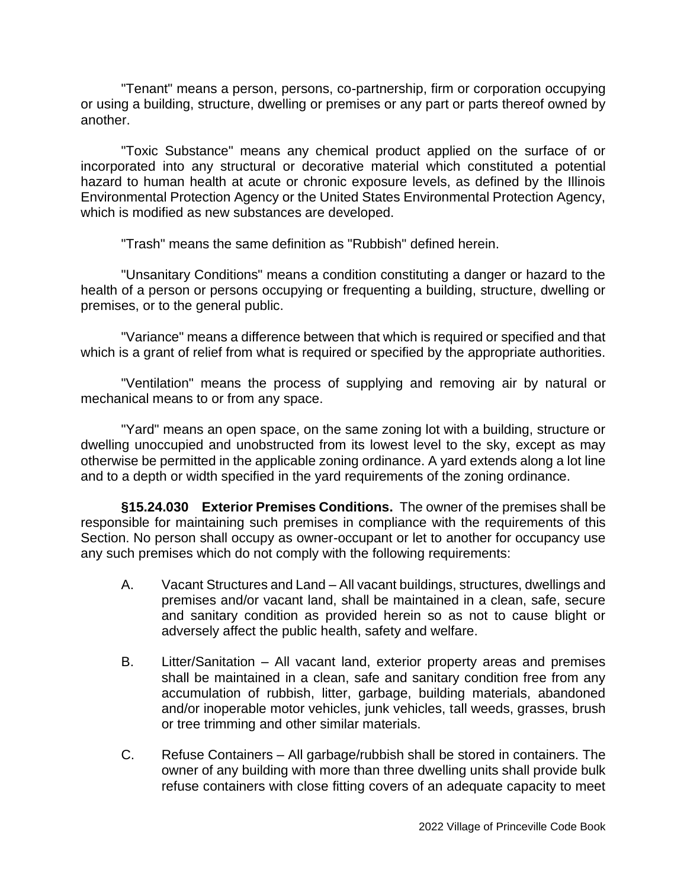"Tenant" means a person, persons, co-partnership, firm or corporation occupying or using a building, structure, dwelling or premises or any part or parts thereof owned by another.

"Toxic Substance" means any chemical product applied on the surface of or incorporated into any structural or decorative material which constituted a potential hazard to human health at acute or chronic exposure levels, as defined by the Illinois Environmental Protection Agency or the United States Environmental Protection Agency, which is modified as new substances are developed.

"Trash" means the same definition as "Rubbish" defined herein.

"Unsanitary Conditions" means a condition constituting a danger or hazard to the health of a person or persons occupying or frequenting a building, structure, dwelling or premises, or to the general public.

"Variance" means a difference between that which is required or specified and that which is a grant of relief from what is required or specified by the appropriate authorities.

"Ventilation" means the process of supplying and removing air by natural or mechanical means to or from any space.

"Yard" means an open space, on the same zoning lot with a building, structure or dwelling unoccupied and unobstructed from its lowest level to the sky, except as may otherwise be permitted in the applicable zoning ordinance. A yard extends along a lot line and to a depth or width specified in the yard requirements of the zoning ordinance.

**§15.24.030 Exterior Premises Conditions.** The owner of the premises shall be responsible for maintaining such premises in compliance with the requirements of this Section. No person shall occupy as owner-occupant or let to another for occupancy use any such premises which do not comply with the following requirements:

- A. Vacant Structures and Land All vacant buildings, structures, dwellings and premises and/or vacant land, shall be maintained in a clean, safe, secure and sanitary condition as provided herein so as not to cause blight or adversely affect the public health, safety and welfare.
- B. Litter/Sanitation All vacant land, exterior property areas and premises shall be maintained in a clean, safe and sanitary condition free from any accumulation of rubbish, litter, garbage, building materials, abandoned and/or inoperable motor vehicles, junk vehicles, tall weeds, grasses, brush or tree trimming and other similar materials.
- C. Refuse Containers All garbage/rubbish shall be stored in containers. The owner of any building with more than three dwelling units shall provide bulk refuse containers with close fitting covers of an adequate capacity to meet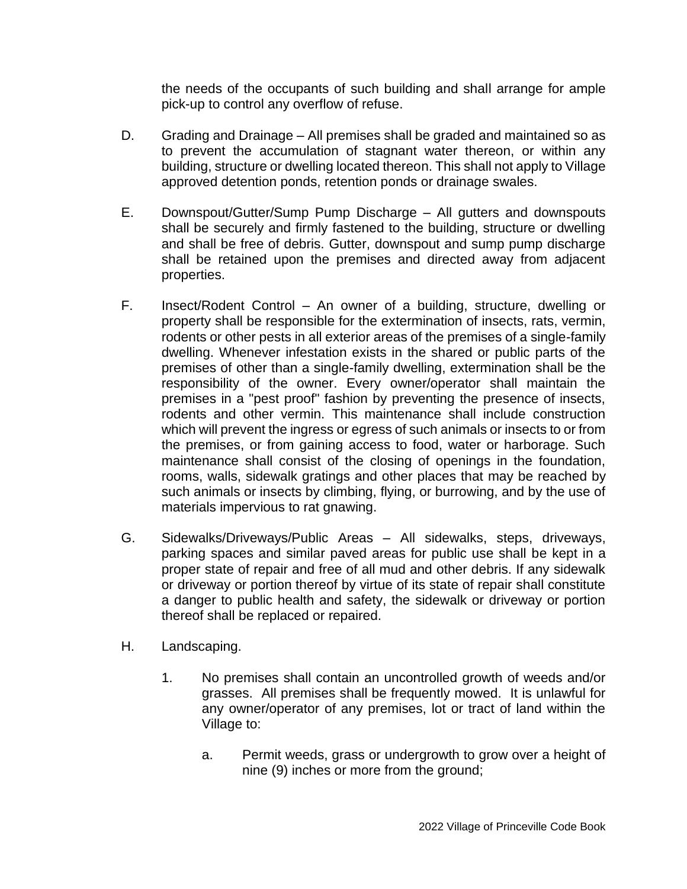the needs of the occupants of such building and shall arrange for ample pick-up to control any overflow of refuse.

- D. Grading and Drainage All premises shall be graded and maintained so as to prevent the accumulation of stagnant water thereon, or within any building, structure or dwelling located thereon. This shall not apply to Village approved detention ponds, retention ponds or drainage swales.
- E. Downspout/Gutter/Sump Pump Discharge All gutters and downspouts shall be securely and firmly fastened to the building, structure or dwelling and shall be free of debris. Gutter, downspout and sump pump discharge shall be retained upon the premises and directed away from adjacent properties.
- F. Insect/Rodent Control An owner of a building, structure, dwelling or property shall be responsible for the extermination of insects, rats, vermin, rodents or other pests in all exterior areas of the premises of a single-family dwelling. Whenever infestation exists in the shared or public parts of the premises of other than a single-family dwelling, extermination shall be the responsibility of the owner. Every owner/operator shall maintain the premises in a "pest proof" fashion by preventing the presence of insects, rodents and other vermin. This maintenance shall include construction which will prevent the ingress or egress of such animals or insects to or from the premises, or from gaining access to food, water or harborage. Such maintenance shall consist of the closing of openings in the foundation, rooms, walls, sidewalk gratings and other places that may be reached by such animals or insects by climbing, flying, or burrowing, and by the use of materials impervious to rat gnawing.
- G. Sidewalks/Driveways/Public Areas All sidewalks, steps, driveways, parking spaces and similar paved areas for public use shall be kept in a proper state of repair and free of all mud and other debris. If any sidewalk or driveway or portion thereof by virtue of its state of repair shall constitute a danger to public health and safety, the sidewalk or driveway or portion thereof shall be replaced or repaired.
- H. Landscaping.
	- 1. No premises shall contain an uncontrolled growth of weeds and/or grasses. All premises shall be frequently mowed. It is unlawful for any owner/operator of any premises, lot or tract of land within the Village to:
		- a. Permit weeds, grass or undergrowth to grow over a height of nine (9) inches or more from the ground;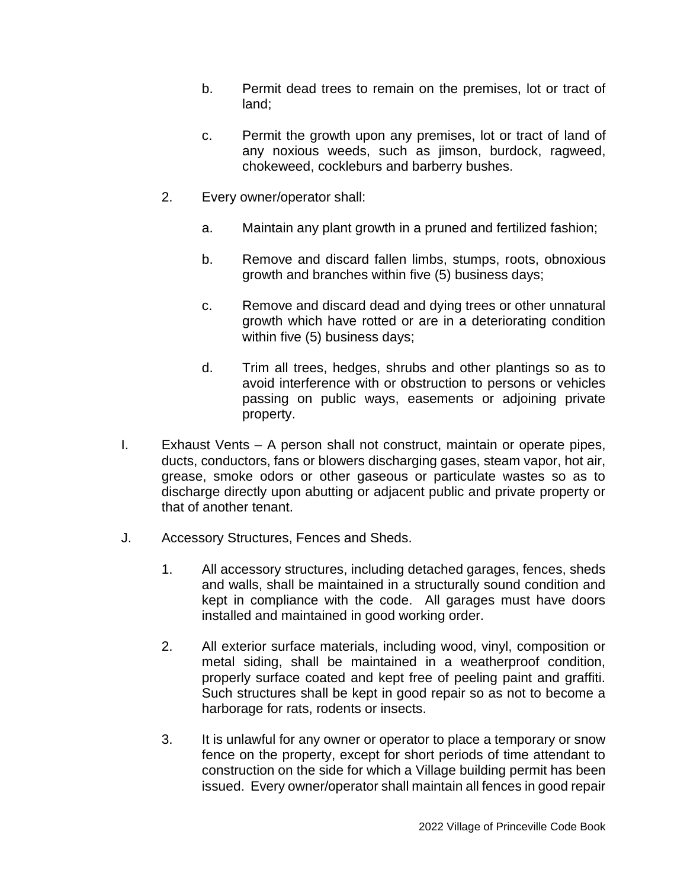- b. Permit dead trees to remain on the premises, lot or tract of land;
- c. Permit the growth upon any premises, lot or tract of land of any noxious weeds, such as jimson, burdock, ragweed, chokeweed, cockleburs and barberry bushes.
- 2. Every owner/operator shall:
	- a. Maintain any plant growth in a pruned and fertilized fashion;
	- b. Remove and discard fallen limbs, stumps, roots, obnoxious growth and branches within five (5) business days;
	- c. Remove and discard dead and dying trees or other unnatural growth which have rotted or are in a deteriorating condition within five (5) business days;
	- d. Trim all trees, hedges, shrubs and other plantings so as to avoid interference with or obstruction to persons or vehicles passing on public ways, easements or adjoining private property.
- I. Exhaust Vents A person shall not construct, maintain or operate pipes, ducts, conductors, fans or blowers discharging gases, steam vapor, hot air, grease, smoke odors or other gaseous or particulate wastes so as to discharge directly upon abutting or adjacent public and private property or that of another tenant.
- J. Accessory Structures, Fences and Sheds.
	- 1. All accessory structures, including detached garages, fences, sheds and walls, shall be maintained in a structurally sound condition and kept in compliance with the code. All garages must have doors installed and maintained in good working order.
	- 2. All exterior surface materials, including wood, vinyl, composition or metal siding, shall be maintained in a weatherproof condition, properly surface coated and kept free of peeling paint and graffiti. Such structures shall be kept in good repair so as not to become a harborage for rats, rodents or insects.
	- 3. It is unlawful for any owner or operator to place a temporary or snow fence on the property, except for short periods of time attendant to construction on the side for which a Village building permit has been issued. Every owner/operator shall maintain all fences in good repair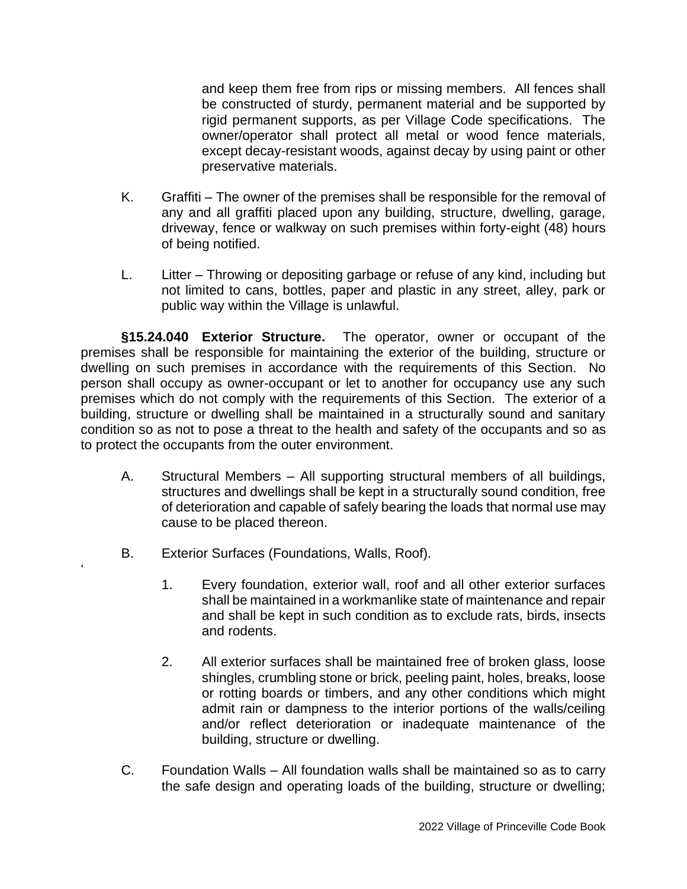and keep them free from rips or missing members. All fences shall be constructed of sturdy, permanent material and be supported by rigid permanent supports, as per Village Code specifications. The owner/operator shall protect all metal or wood fence materials, except decay-resistant woods, against decay by using paint or other preservative materials.

- K. Graffiti The owner of the premises shall be responsible for the removal of any and all graffiti placed upon any building, structure, dwelling, garage, driveway, fence or walkway on such premises within forty-eight (48) hours of being notified.
- L. Litter Throwing or depositing garbage or refuse of any kind, including but not limited to cans, bottles, paper and plastic in any street, alley, park or public way within the Village is unlawful.

**§15.24.040 Exterior Structure.** The operator, owner or occupant of the premises shall be responsible for maintaining the exterior of the building, structure or dwelling on such premises in accordance with the requirements of this Section. No person shall occupy as owner-occupant or let to another for occupancy use any such premises which do not comply with the requirements of this Section. The exterior of a building, structure or dwelling shall be maintained in a structurally sound and sanitary condition so as not to pose a threat to the health and safety of the occupants and so as to protect the occupants from the outer environment.

- A. Structural Members All supporting structural members of all buildings, structures and dwellings shall be kept in a structurally sound condition, free of deterioration and capable of safely bearing the loads that normal use may cause to be placed thereon.
- B. Exterior Surfaces (Foundations, Walls, Roof).

'

- 1. Every foundation, exterior wall, roof and all other exterior surfaces shall be maintained in a workmanlike state of maintenance and repair and shall be kept in such condition as to exclude rats, birds, insects and rodents.
- 2. All exterior surfaces shall be maintained free of broken glass, loose shingles, crumbling stone or brick, peeling paint, holes, breaks, loose or rotting boards or timbers, and any other conditions which might admit rain or dampness to the interior portions of the walls/ceiling and/or reflect deterioration or inadequate maintenance of the building, structure or dwelling.
- C. Foundation Walls All foundation walls shall be maintained so as to carry the safe design and operating loads of the building, structure or dwelling;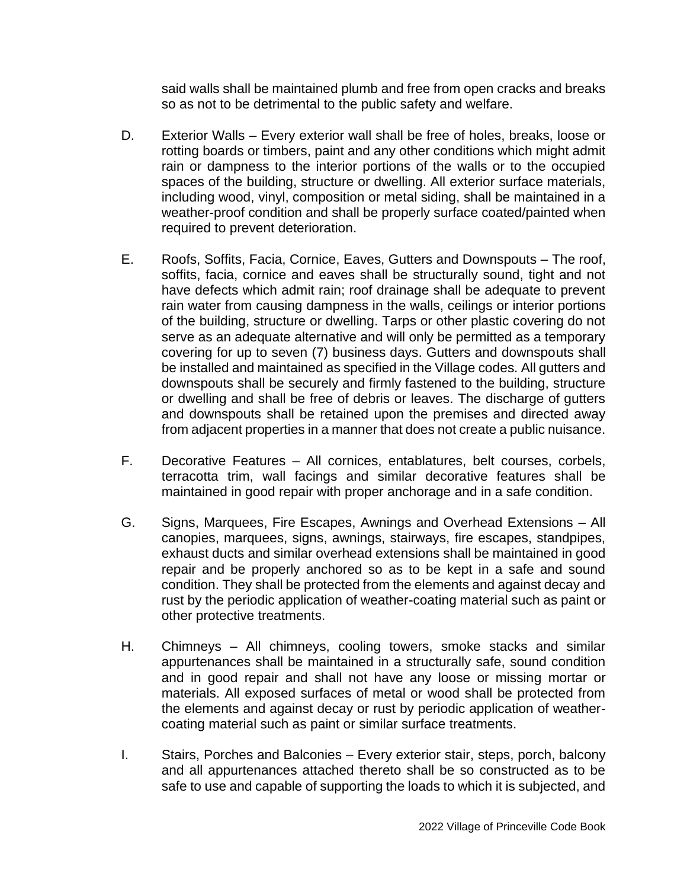said walls shall be maintained plumb and free from open cracks and breaks so as not to be detrimental to the public safety and welfare.

- D. Exterior Walls Every exterior wall shall be free of holes, breaks, loose or rotting boards or timbers, paint and any other conditions which might admit rain or dampness to the interior portions of the walls or to the occupied spaces of the building, structure or dwelling. All exterior surface materials, including wood, vinyl, composition or metal siding, shall be maintained in a weather-proof condition and shall be properly surface coated/painted when required to prevent deterioration.
- E. Roofs, Soffits, Facia, Cornice, Eaves, Gutters and Downspouts The roof, soffits, facia, cornice and eaves shall be structurally sound, tight and not have defects which admit rain; roof drainage shall be adequate to prevent rain water from causing dampness in the walls, ceilings or interior portions of the building, structure or dwelling. Tarps or other plastic covering do not serve as an adequate alternative and will only be permitted as a temporary covering for up to seven (7) business days. Gutters and downspouts shall be installed and maintained as specified in the Village codes. All gutters and downspouts shall be securely and firmly fastened to the building, structure or dwelling and shall be free of debris or leaves. The discharge of gutters and downspouts shall be retained upon the premises and directed away from adjacent properties in a manner that does not create a public nuisance.
- F. Decorative Features All cornices, entablatures, belt courses, corbels, terracotta trim, wall facings and similar decorative features shall be maintained in good repair with proper anchorage and in a safe condition.
- G. Signs, Marquees, Fire Escapes, Awnings and Overhead Extensions All canopies, marquees, signs, awnings, stairways, fire escapes, standpipes, exhaust ducts and similar overhead extensions shall be maintained in good repair and be properly anchored so as to be kept in a safe and sound condition. They shall be protected from the elements and against decay and rust by the periodic application of weather-coating material such as paint or other protective treatments.
- H. Chimneys All chimneys, cooling towers, smoke stacks and similar appurtenances shall be maintained in a structurally safe, sound condition and in good repair and shall not have any loose or missing mortar or materials. All exposed surfaces of metal or wood shall be protected from the elements and against decay or rust by periodic application of weathercoating material such as paint or similar surface treatments.
- I. Stairs, Porches and Balconies Every exterior stair, steps, porch, balcony and all appurtenances attached thereto shall be so constructed as to be safe to use and capable of supporting the loads to which it is subjected, and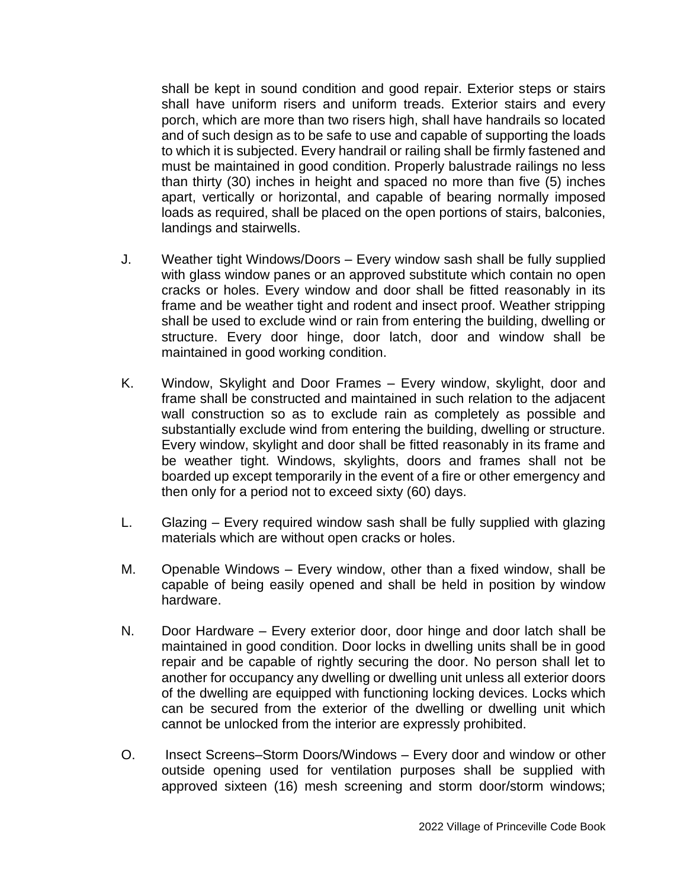shall be kept in sound condition and good repair. Exterior steps or stairs shall have uniform risers and uniform treads. Exterior stairs and every porch, which are more than two risers high, shall have handrails so located and of such design as to be safe to use and capable of supporting the loads to which it is subjected. Every handrail or railing shall be firmly fastened and must be maintained in good condition. Properly balustrade railings no less than thirty (30) inches in height and spaced no more than five (5) inches apart, vertically or horizontal, and capable of bearing normally imposed loads as required, shall be placed on the open portions of stairs, balconies, landings and stairwells.

- J. Weather tight Windows/Doors Every window sash shall be fully supplied with glass window panes or an approved substitute which contain no open cracks or holes. Every window and door shall be fitted reasonably in its frame and be weather tight and rodent and insect proof. Weather stripping shall be used to exclude wind or rain from entering the building, dwelling or structure. Every door hinge, door latch, door and window shall be maintained in good working condition.
- K. Window, Skylight and Door Frames Every window, skylight, door and frame shall be constructed and maintained in such relation to the adjacent wall construction so as to exclude rain as completely as possible and substantially exclude wind from entering the building, dwelling or structure. Every window, skylight and door shall be fitted reasonably in its frame and be weather tight. Windows, skylights, doors and frames shall not be boarded up except temporarily in the event of a fire or other emergency and then only for a period not to exceed sixty (60) days.
- L. Glazing Every required window sash shall be fully supplied with glazing materials which are without open cracks or holes.
- M. Openable Windows Every window, other than a fixed window, shall be capable of being easily opened and shall be held in position by window hardware.
- N. Door Hardware Every exterior door, door hinge and door latch shall be maintained in good condition. Door locks in dwelling units shall be in good repair and be capable of rightly securing the door. No person shall let to another for occupancy any dwelling or dwelling unit unless all exterior doors of the dwelling are equipped with functioning locking devices. Locks which can be secured from the exterior of the dwelling or dwelling unit which cannot be unlocked from the interior are expressly prohibited.
- O. Insect Screens–Storm Doors/Windows Every door and window or other outside opening used for ventilation purposes shall be supplied with approved sixteen (16) mesh screening and storm door/storm windows;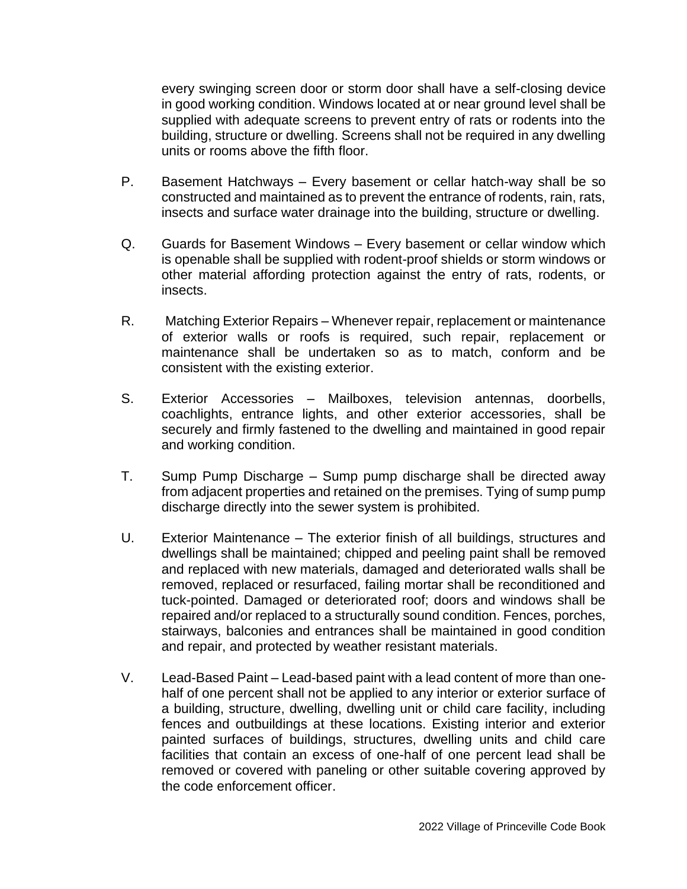every swinging screen door or storm door shall have a self-closing device in good working condition. Windows located at or near ground level shall be supplied with adequate screens to prevent entry of rats or rodents into the building, structure or dwelling. Screens shall not be required in any dwelling units or rooms above the fifth floor.

- P. Basement Hatchways Every basement or cellar hatch-way shall be so constructed and maintained as to prevent the entrance of rodents, rain, rats, insects and surface water drainage into the building, structure or dwelling.
- Q. Guards for Basement Windows Every basement or cellar window which is openable shall be supplied with rodent-proof shields or storm windows or other material affording protection against the entry of rats, rodents, or insects.
- R. Matching Exterior Repairs Whenever repair, replacement or maintenance of exterior walls or roofs is required, such repair, replacement or maintenance shall be undertaken so as to match, conform and be consistent with the existing exterior.
- S. Exterior Accessories Mailboxes, television antennas, doorbells, coachlights, entrance lights, and other exterior accessories, shall be securely and firmly fastened to the dwelling and maintained in good repair and working condition.
- T. Sump Pump Discharge Sump pump discharge shall be directed away from adjacent properties and retained on the premises. Tying of sump pump discharge directly into the sewer system is prohibited.
- U. Exterior Maintenance The exterior finish of all buildings, structures and dwellings shall be maintained; chipped and peeling paint shall be removed and replaced with new materials, damaged and deteriorated walls shall be removed, replaced or resurfaced, failing mortar shall be reconditioned and tuck-pointed. Damaged or deteriorated roof; doors and windows shall be repaired and/or replaced to a structurally sound condition. Fences, porches, stairways, balconies and entrances shall be maintained in good condition and repair, and protected by weather resistant materials.
- V. Lead-Based Paint Lead-based paint with a lead content of more than onehalf of one percent shall not be applied to any interior or exterior surface of a building, structure, dwelling, dwelling unit or child care facility, including fences and outbuildings at these locations. Existing interior and exterior painted surfaces of buildings, structures, dwelling units and child care facilities that contain an excess of one-half of one percent lead shall be removed or covered with paneling or other suitable covering approved by the code enforcement officer.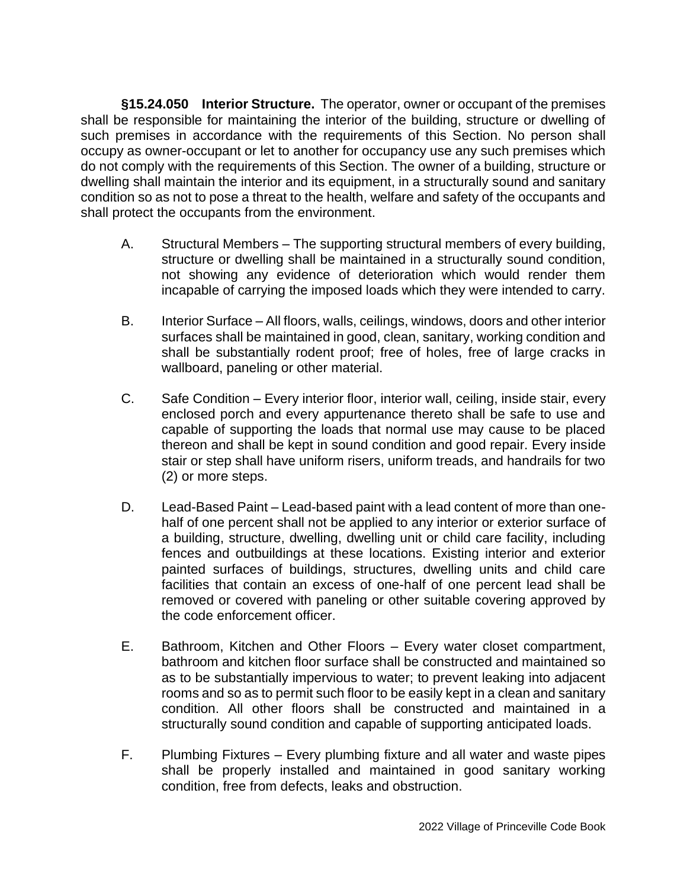**§15.24.050 Interior Structure.** The operator, owner or occupant of the premises shall be responsible for maintaining the interior of the building, structure or dwelling of such premises in accordance with the requirements of this Section. No person shall occupy as owner-occupant or let to another for occupancy use any such premises which do not comply with the requirements of this Section. The owner of a building, structure or dwelling shall maintain the interior and its equipment, in a structurally sound and sanitary condition so as not to pose a threat to the health, welfare and safety of the occupants and shall protect the occupants from the environment.

- A. Structural Members The supporting structural members of every building, structure or dwelling shall be maintained in a structurally sound condition, not showing any evidence of deterioration which would render them incapable of carrying the imposed loads which they were intended to carry.
- B. Interior Surface All floors, walls, ceilings, windows, doors and other interior surfaces shall be maintained in good, clean, sanitary, working condition and shall be substantially rodent proof; free of holes, free of large cracks in wallboard, paneling or other material.
- C. Safe Condition Every interior floor, interior wall, ceiling, inside stair, every enclosed porch and every appurtenance thereto shall be safe to use and capable of supporting the loads that normal use may cause to be placed thereon and shall be kept in sound condition and good repair. Every inside stair or step shall have uniform risers, uniform treads, and handrails for two (2) or more steps.
- D. Lead-Based Paint Lead-based paint with a lead content of more than onehalf of one percent shall not be applied to any interior or exterior surface of a building, structure, dwelling, dwelling unit or child care facility, including fences and outbuildings at these locations. Existing interior and exterior painted surfaces of buildings, structures, dwelling units and child care facilities that contain an excess of one-half of one percent lead shall be removed or covered with paneling or other suitable covering approved by the code enforcement officer.
- E. Bathroom, Kitchen and Other Floors Every water closet compartment, bathroom and kitchen floor surface shall be constructed and maintained so as to be substantially impervious to water; to prevent leaking into adjacent rooms and so as to permit such floor to be easily kept in a clean and sanitary condition. All other floors shall be constructed and maintained in a structurally sound condition and capable of supporting anticipated loads.
- F. Plumbing Fixtures Every plumbing fixture and all water and waste pipes shall be properly installed and maintained in good sanitary working condition, free from defects, leaks and obstruction.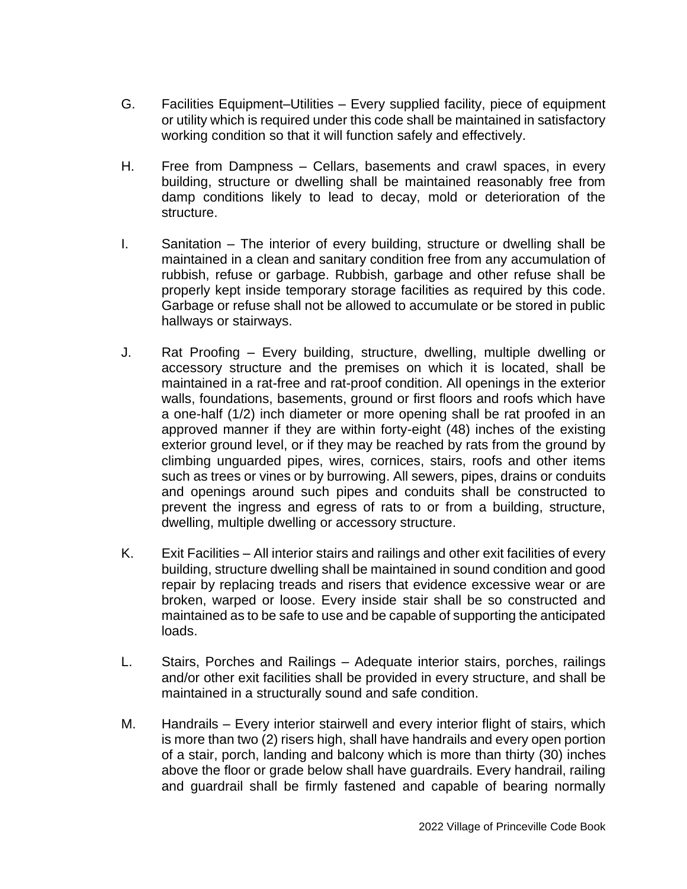- G. Facilities Equipment–Utilities Every supplied facility, piece of equipment or utility which is required under this code shall be maintained in satisfactory working condition so that it will function safely and effectively.
- H. Free from Dampness Cellars, basements and crawl spaces, in every building, structure or dwelling shall be maintained reasonably free from damp conditions likely to lead to decay, mold or deterioration of the structure.
- I. Sanitation The interior of every building, structure or dwelling shall be maintained in a clean and sanitary condition free from any accumulation of rubbish, refuse or garbage. Rubbish, garbage and other refuse shall be properly kept inside temporary storage facilities as required by this code. Garbage or refuse shall not be allowed to accumulate or be stored in public hallways or stairways.
- J. Rat Proofing Every building, structure, dwelling, multiple dwelling or accessory structure and the premises on which it is located, shall be maintained in a rat-free and rat-proof condition. All openings in the exterior walls, foundations, basements, ground or first floors and roofs which have a one-half (1/2) inch diameter or more opening shall be rat proofed in an approved manner if they are within forty-eight (48) inches of the existing exterior ground level, or if they may be reached by rats from the ground by climbing unguarded pipes, wires, cornices, stairs, roofs and other items such as trees or vines or by burrowing. All sewers, pipes, drains or conduits and openings around such pipes and conduits shall be constructed to prevent the ingress and egress of rats to or from a building, structure, dwelling, multiple dwelling or accessory structure.
- K. Exit Facilities All interior stairs and railings and other exit facilities of every building, structure dwelling shall be maintained in sound condition and good repair by replacing treads and risers that evidence excessive wear or are broken, warped or loose. Every inside stair shall be so constructed and maintained as to be safe to use and be capable of supporting the anticipated loads.
- L. Stairs, Porches and Railings Adequate interior stairs, porches, railings and/or other exit facilities shall be provided in every structure, and shall be maintained in a structurally sound and safe condition.
- M. Handrails Every interior stairwell and every interior flight of stairs, which is more than two (2) risers high, shall have handrails and every open portion of a stair, porch, landing and balcony which is more than thirty (30) inches above the floor or grade below shall have guardrails. Every handrail, railing and guardrail shall be firmly fastened and capable of bearing normally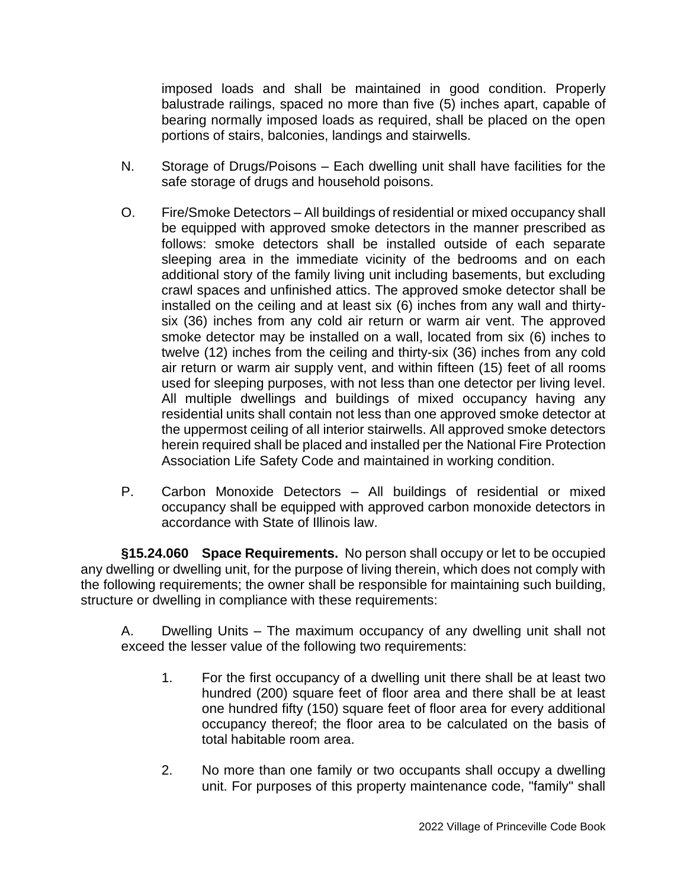imposed loads and shall be maintained in good condition. Properly balustrade railings, spaced no more than five (5) inches apart, capable of bearing normally imposed loads as required, shall be placed on the open portions of stairs, balconies, landings and stairwells.

- N. Storage of Drugs/Poisons Each dwelling unit shall have facilities for the safe storage of drugs and household poisons.
- O. Fire/Smoke Detectors All buildings of residential or mixed occupancy shall be equipped with approved smoke detectors in the manner prescribed as follows: smoke detectors shall be installed outside of each separate sleeping area in the immediate vicinity of the bedrooms and on each additional story of the family living unit including basements, but excluding crawl spaces and unfinished attics. The approved smoke detector shall be installed on the ceiling and at least six (6) inches from any wall and thirtysix (36) inches from any cold air return or warm air vent. The approved smoke detector may be installed on a wall, located from six (6) inches to twelve (12) inches from the ceiling and thirty-six (36) inches from any cold air return or warm air supply vent, and within fifteen (15) feet of all rooms used for sleeping purposes, with not less than one detector per living level. All multiple dwellings and buildings of mixed occupancy having any residential units shall contain not less than one approved smoke detector at the uppermost ceiling of all interior stairwells. All approved smoke detectors herein required shall be placed and installed per the National Fire Protection Association Life Safety Code and maintained in working condition.
- P. Carbon Monoxide Detectors All buildings of residential or mixed occupancy shall be equipped with approved carbon monoxide detectors in accordance with State of Illinois law.

**§15.24.060 Space Requirements.** No person shall occupy or let to be occupied any dwelling or dwelling unit, for the purpose of living therein, which does not comply with the following requirements; the owner shall be responsible for maintaining such building, structure or dwelling in compliance with these requirements:

A. Dwelling Units – The maximum occupancy of any dwelling unit shall not exceed the lesser value of the following two requirements:

- 1. For the first occupancy of a dwelling unit there shall be at least two hundred (200) square feet of floor area and there shall be at least one hundred fifty (150) square feet of floor area for every additional occupancy thereof; the floor area to be calculated on the basis of total habitable room area.
- 2. No more than one family or two occupants shall occupy a dwelling unit. For purposes of this property maintenance code, "family" shall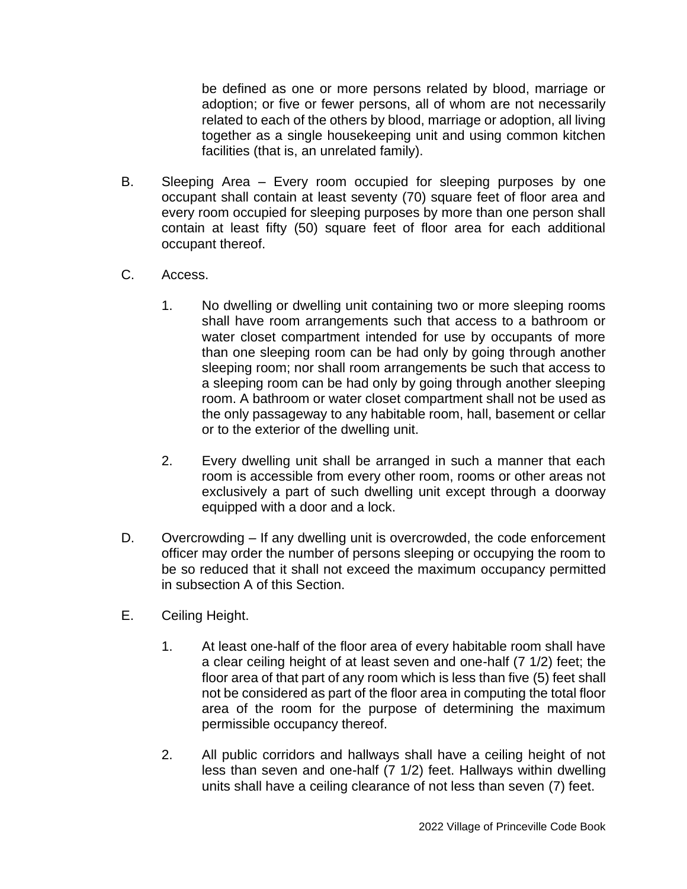be defined as one or more persons related by blood, marriage or adoption; or five or fewer persons, all of whom are not necessarily related to each of the others by blood, marriage or adoption, all living together as a single housekeeping unit and using common kitchen facilities (that is, an unrelated family).

- B. Sleeping Area Every room occupied for sleeping purposes by one occupant shall contain at least seventy (70) square feet of floor area and every room occupied for sleeping purposes by more than one person shall contain at least fifty (50) square feet of floor area for each additional occupant thereof.
- C. Access.
	- 1. No dwelling or dwelling unit containing two or more sleeping rooms shall have room arrangements such that access to a bathroom or water closet compartment intended for use by occupants of more than one sleeping room can be had only by going through another sleeping room; nor shall room arrangements be such that access to a sleeping room can be had only by going through another sleeping room. A bathroom or water closet compartment shall not be used as the only passageway to any habitable room, hall, basement or cellar or to the exterior of the dwelling unit.
	- 2. Every dwelling unit shall be arranged in such a manner that each room is accessible from every other room, rooms or other areas not exclusively a part of such dwelling unit except through a doorway equipped with a door and a lock.
- D. Overcrowding If any dwelling unit is overcrowded, the code enforcement officer may order the number of persons sleeping or occupying the room to be so reduced that it shall not exceed the maximum occupancy permitted in subsection A of this Section.
- E. Ceiling Height.
	- 1. At least one-half of the floor area of every habitable room shall have a clear ceiling height of at least seven and one-half (7 1/2) feet; the floor area of that part of any room which is less than five (5) feet shall not be considered as part of the floor area in computing the total floor area of the room for the purpose of determining the maximum permissible occupancy thereof.
	- 2. All public corridors and hallways shall have a ceiling height of not less than seven and one-half (7 1/2) feet. Hallways within dwelling units shall have a ceiling clearance of not less than seven (7) feet.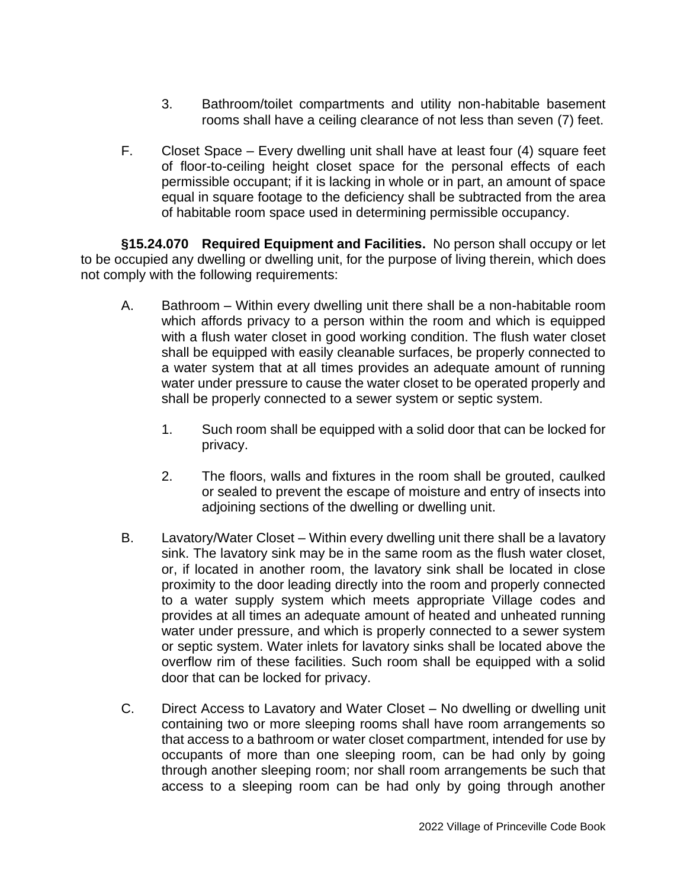- 3. Bathroom/toilet compartments and utility non-habitable basement rooms shall have a ceiling clearance of not less than seven (7) feet.
- F. Closet Space Every dwelling unit shall have at least four (4) square feet of floor-to-ceiling height closet space for the personal effects of each permissible occupant; if it is lacking in whole or in part, an amount of space equal in square footage to the deficiency shall be subtracted from the area of habitable room space used in determining permissible occupancy.

**§15.24.070 Required Equipment and Facilities.** No person shall occupy or let to be occupied any dwelling or dwelling unit, for the purpose of living therein, which does not comply with the following requirements:

- A. Bathroom Within every dwelling unit there shall be a non-habitable room which affords privacy to a person within the room and which is equipped with a flush water closet in good working condition. The flush water closet shall be equipped with easily cleanable surfaces, be properly connected to a water system that at all times provides an adequate amount of running water under pressure to cause the water closet to be operated properly and shall be properly connected to a sewer system or septic system.
	- 1. Such room shall be equipped with a solid door that can be locked for privacy.
	- 2. The floors, walls and fixtures in the room shall be grouted, caulked or sealed to prevent the escape of moisture and entry of insects into adjoining sections of the dwelling or dwelling unit.
- B. Lavatory/Water Closet Within every dwelling unit there shall be a lavatory sink. The lavatory sink may be in the same room as the flush water closet, or, if located in another room, the lavatory sink shall be located in close proximity to the door leading directly into the room and properly connected to a water supply system which meets appropriate Village codes and provides at all times an adequate amount of heated and unheated running water under pressure, and which is properly connected to a sewer system or septic system. Water inlets for lavatory sinks shall be located above the overflow rim of these facilities. Such room shall be equipped with a solid door that can be locked for privacy.
- C. Direct Access to Lavatory and Water Closet No dwelling or dwelling unit containing two or more sleeping rooms shall have room arrangements so that access to a bathroom or water closet compartment, intended for use by occupants of more than one sleeping room, can be had only by going through another sleeping room; nor shall room arrangements be such that access to a sleeping room can be had only by going through another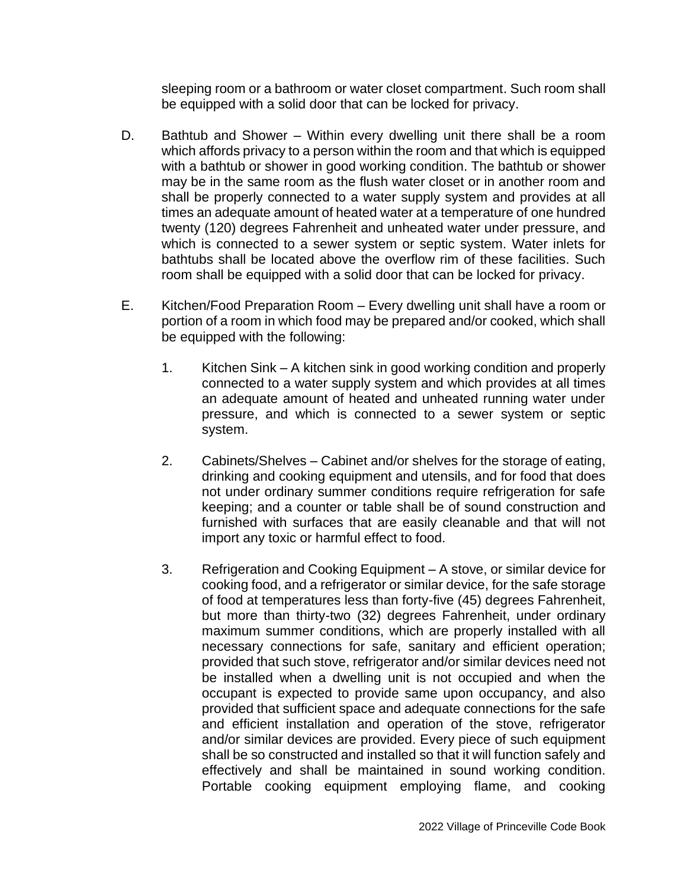sleeping room or a bathroom or water closet compartment. Such room shall be equipped with a solid door that can be locked for privacy.

- D. Bathtub and Shower Within every dwelling unit there shall be a room which affords privacy to a person within the room and that which is equipped with a bathtub or shower in good working condition. The bathtub or shower may be in the same room as the flush water closet or in another room and shall be properly connected to a water supply system and provides at all times an adequate amount of heated water at a temperature of one hundred twenty (120) degrees Fahrenheit and unheated water under pressure, and which is connected to a sewer system or septic system. Water inlets for bathtubs shall be located above the overflow rim of these facilities. Such room shall be equipped with a solid door that can be locked for privacy.
- E. Kitchen/Food Preparation Room Every dwelling unit shall have a room or portion of a room in which food may be prepared and/or cooked, which shall be equipped with the following:
	- 1. Kitchen Sink A kitchen sink in good working condition and properly connected to a water supply system and which provides at all times an adequate amount of heated and unheated running water under pressure, and which is connected to a sewer system or septic system.
	- 2. Cabinets/Shelves Cabinet and/or shelves for the storage of eating, drinking and cooking equipment and utensils, and for food that does not under ordinary summer conditions require refrigeration for safe keeping; and a counter or table shall be of sound construction and furnished with surfaces that are easily cleanable and that will not import any toxic or harmful effect to food.
	- 3. Refrigeration and Cooking Equipment A stove, or similar device for cooking food, and a refrigerator or similar device, for the safe storage of food at temperatures less than forty-five (45) degrees Fahrenheit, but more than thirty-two (32) degrees Fahrenheit, under ordinary maximum summer conditions, which are properly installed with all necessary connections for safe, sanitary and efficient operation; provided that such stove, refrigerator and/or similar devices need not be installed when a dwelling unit is not occupied and when the occupant is expected to provide same upon occupancy, and also provided that sufficient space and adequate connections for the safe and efficient installation and operation of the stove, refrigerator and/or similar devices are provided. Every piece of such equipment shall be so constructed and installed so that it will function safely and effectively and shall be maintained in sound working condition. Portable cooking equipment employing flame, and cooking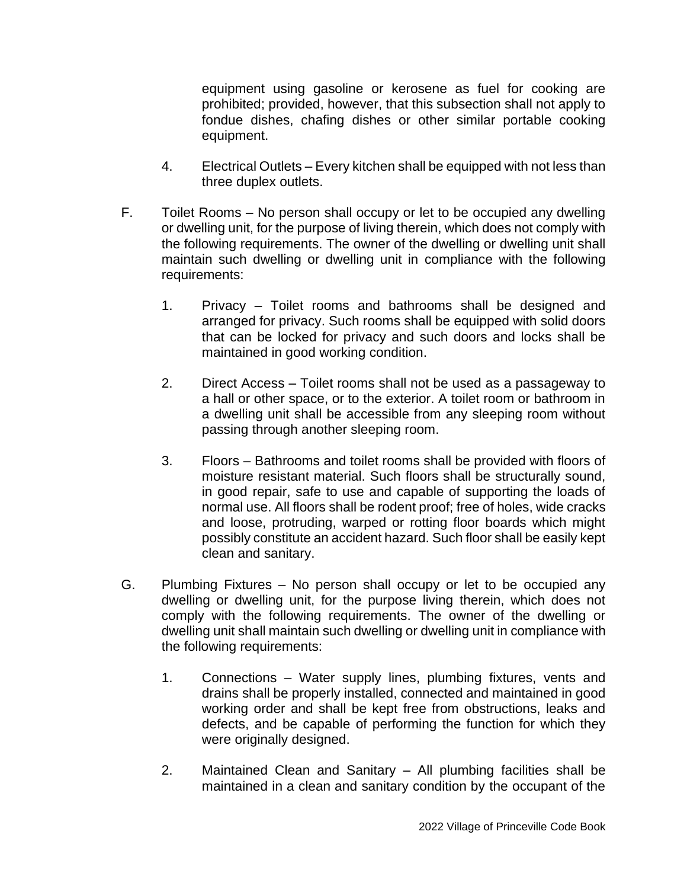equipment using gasoline or kerosene as fuel for cooking are prohibited; provided, however, that this subsection shall not apply to fondue dishes, chafing dishes or other similar portable cooking equipment.

- 4. Electrical Outlets Every kitchen shall be equipped with not less than three duplex outlets.
- F. Toilet Rooms No person shall occupy or let to be occupied any dwelling or dwelling unit, for the purpose of living therein, which does not comply with the following requirements. The owner of the dwelling or dwelling unit shall maintain such dwelling or dwelling unit in compliance with the following requirements:
	- 1. Privacy Toilet rooms and bathrooms shall be designed and arranged for privacy. Such rooms shall be equipped with solid doors that can be locked for privacy and such doors and locks shall be maintained in good working condition.
	- 2. Direct Access Toilet rooms shall not be used as a passageway to a hall or other space, or to the exterior. A toilet room or bathroom in a dwelling unit shall be accessible from any sleeping room without passing through another sleeping room.
	- 3. Floors Bathrooms and toilet rooms shall be provided with floors of moisture resistant material. Such floors shall be structurally sound, in good repair, safe to use and capable of supporting the loads of normal use. All floors shall be rodent proof; free of holes, wide cracks and loose, protruding, warped or rotting floor boards which might possibly constitute an accident hazard. Such floor shall be easily kept clean and sanitary.
- G. Plumbing Fixtures No person shall occupy or let to be occupied any dwelling or dwelling unit, for the purpose living therein, which does not comply with the following requirements. The owner of the dwelling or dwelling unit shall maintain such dwelling or dwelling unit in compliance with the following requirements:
	- 1. Connections Water supply lines, plumbing fixtures, vents and drains shall be properly installed, connected and maintained in good working order and shall be kept free from obstructions, leaks and defects, and be capable of performing the function for which they were originally designed.
	- 2. Maintained Clean and Sanitary All plumbing facilities shall be maintained in a clean and sanitary condition by the occupant of the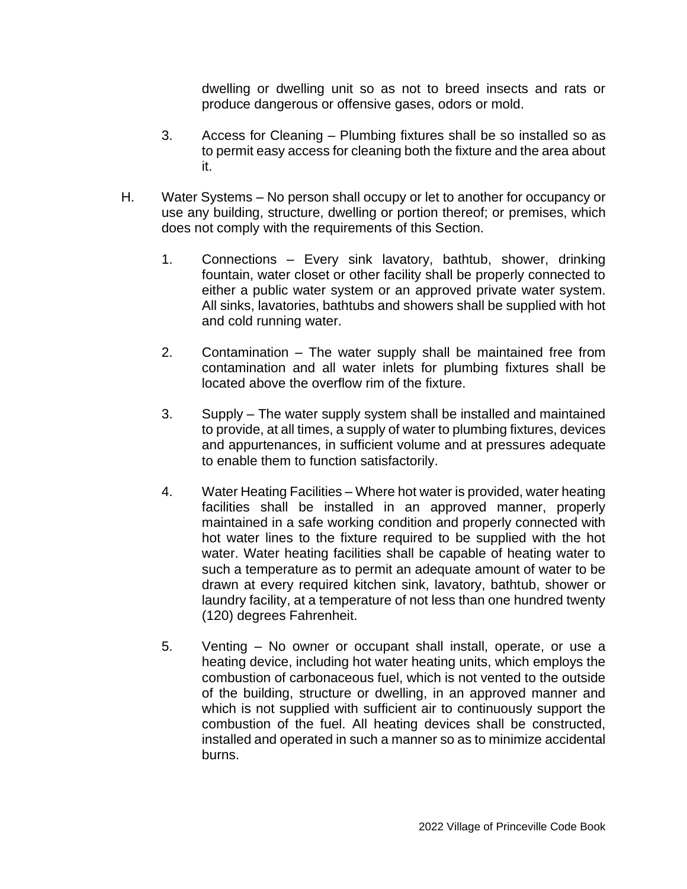dwelling or dwelling unit so as not to breed insects and rats or produce dangerous or offensive gases, odors or mold.

- 3. Access for Cleaning Plumbing fixtures shall be so installed so as to permit easy access for cleaning both the fixture and the area about it.
- H. Water Systems No person shall occupy or let to another for occupancy or use any building, structure, dwelling or portion thereof; or premises, which does not comply with the requirements of this Section.
	- 1. Connections Every sink lavatory, bathtub, shower, drinking fountain, water closet or other facility shall be properly connected to either a public water system or an approved private water system. All sinks, lavatories, bathtubs and showers shall be supplied with hot and cold running water.
	- 2. Contamination The water supply shall be maintained free from contamination and all water inlets for plumbing fixtures shall be located above the overflow rim of the fixture.
	- 3. Supply The water supply system shall be installed and maintained to provide, at all times, a supply of water to plumbing fixtures, devices and appurtenances, in sufficient volume and at pressures adequate to enable them to function satisfactorily.
	- 4. Water Heating Facilities Where hot water is provided, water heating facilities shall be installed in an approved manner, properly maintained in a safe working condition and properly connected with hot water lines to the fixture required to be supplied with the hot water. Water heating facilities shall be capable of heating water to such a temperature as to permit an adequate amount of water to be drawn at every required kitchen sink, lavatory, bathtub, shower or laundry facility, at a temperature of not less than one hundred twenty (120) degrees Fahrenheit.
	- 5. Venting No owner or occupant shall install, operate, or use a heating device, including hot water heating units, which employs the combustion of carbonaceous fuel, which is not vented to the outside of the building, structure or dwelling, in an approved manner and which is not supplied with sufficient air to continuously support the combustion of the fuel. All heating devices shall be constructed, installed and operated in such a manner so as to minimize accidental burns.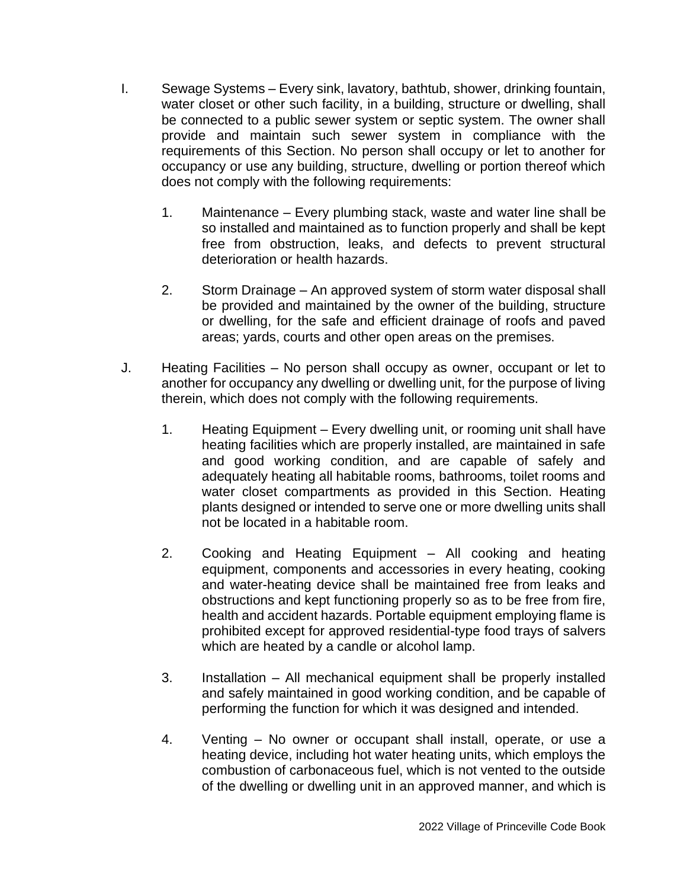- I. Sewage Systems Every sink, lavatory, bathtub, shower, drinking fountain, water closet or other such facility, in a building, structure or dwelling, shall be connected to a public sewer system or septic system. The owner shall provide and maintain such sewer system in compliance with the requirements of this Section. No person shall occupy or let to another for occupancy or use any building, structure, dwelling or portion thereof which does not comply with the following requirements:
	- 1. Maintenance Every plumbing stack, waste and water line shall be so installed and maintained as to function properly and shall be kept free from obstruction, leaks, and defects to prevent structural deterioration or health hazards.
	- 2. Storm Drainage An approved system of storm water disposal shall be provided and maintained by the owner of the building, structure or dwelling, for the safe and efficient drainage of roofs and paved areas; yards, courts and other open areas on the premises.
- J. Heating Facilities No person shall occupy as owner, occupant or let to another for occupancy any dwelling or dwelling unit, for the purpose of living therein, which does not comply with the following requirements.
	- 1. Heating Equipment Every dwelling unit, or rooming unit shall have heating facilities which are properly installed, are maintained in safe and good working condition, and are capable of safely and adequately heating all habitable rooms, bathrooms, toilet rooms and water closet compartments as provided in this Section. Heating plants designed or intended to serve one or more dwelling units shall not be located in a habitable room.
	- 2. Cooking and Heating Equipment All cooking and heating equipment, components and accessories in every heating, cooking and water-heating device shall be maintained free from leaks and obstructions and kept functioning properly so as to be free from fire, health and accident hazards. Portable equipment employing flame is prohibited except for approved residential-type food trays of salvers which are heated by a candle or alcohol lamp.
	- 3. Installation All mechanical equipment shall be properly installed and safely maintained in good working condition, and be capable of performing the function for which it was designed and intended.
	- 4. Venting No owner or occupant shall install, operate, or use a heating device, including hot water heating units, which employs the combustion of carbonaceous fuel, which is not vented to the outside of the dwelling or dwelling unit in an approved manner, and which is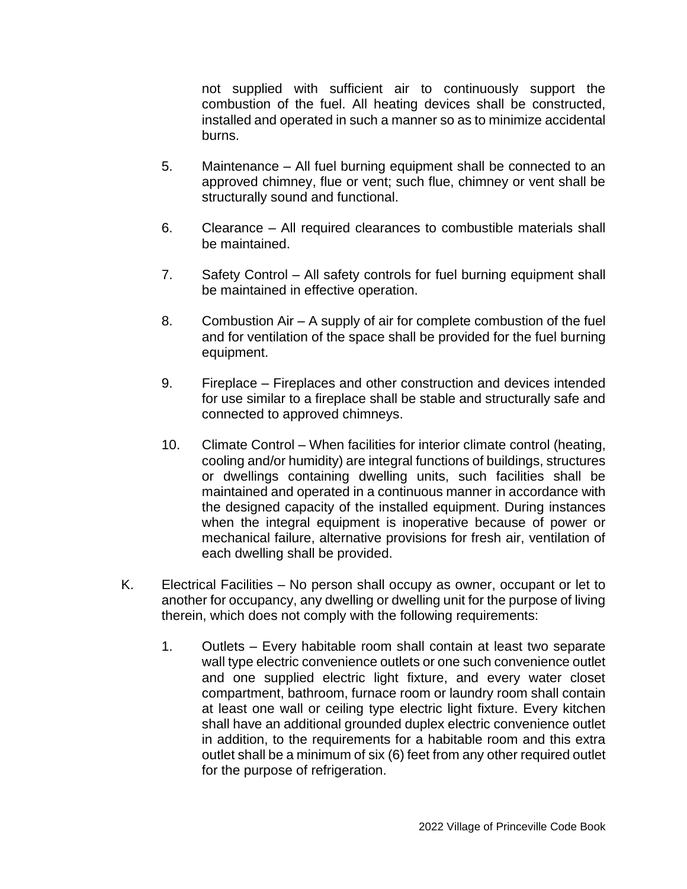not supplied with sufficient air to continuously support the combustion of the fuel. All heating devices shall be constructed, installed and operated in such a manner so as to minimize accidental burns.

- 5. Maintenance All fuel burning equipment shall be connected to an approved chimney, flue or vent; such flue, chimney or vent shall be structurally sound and functional.
- 6. Clearance All required clearances to combustible materials shall be maintained.
- 7. Safety Control All safety controls for fuel burning equipment shall be maintained in effective operation.
- 8. Combustion Air A supply of air for complete combustion of the fuel and for ventilation of the space shall be provided for the fuel burning equipment.
- 9. Fireplace Fireplaces and other construction and devices intended for use similar to a fireplace shall be stable and structurally safe and connected to approved chimneys.
- 10. Climate Control When facilities for interior climate control (heating, cooling and/or humidity) are integral functions of buildings, structures or dwellings containing dwelling units, such facilities shall be maintained and operated in a continuous manner in accordance with the designed capacity of the installed equipment. During instances when the integral equipment is inoperative because of power or mechanical failure, alternative provisions for fresh air, ventilation of each dwelling shall be provided.
- K. Electrical Facilities No person shall occupy as owner, occupant or let to another for occupancy, any dwelling or dwelling unit for the purpose of living therein, which does not comply with the following requirements:
	- 1. Outlets Every habitable room shall contain at least two separate wall type electric convenience outlets or one such convenience outlet and one supplied electric light fixture, and every water closet compartment, bathroom, furnace room or laundry room shall contain at least one wall or ceiling type electric light fixture. Every kitchen shall have an additional grounded duplex electric convenience outlet in addition, to the requirements for a habitable room and this extra outlet shall be a minimum of six (6) feet from any other required outlet for the purpose of refrigeration.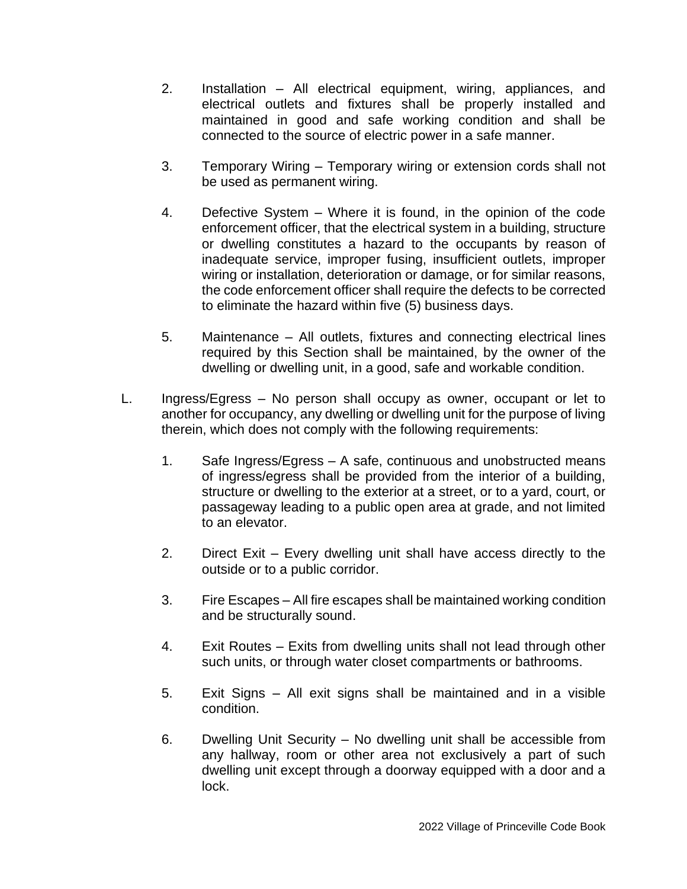- 2. Installation All electrical equipment, wiring, appliances, and electrical outlets and fixtures shall be properly installed and maintained in good and safe working condition and shall be connected to the source of electric power in a safe manner.
- 3. Temporary Wiring Temporary wiring or extension cords shall not be used as permanent wiring.
- 4. Defective System Where it is found, in the opinion of the code enforcement officer, that the electrical system in a building, structure or dwelling constitutes a hazard to the occupants by reason of inadequate service, improper fusing, insufficient outlets, improper wiring or installation, deterioration or damage, or for similar reasons, the code enforcement officer shall require the defects to be corrected to eliminate the hazard within five (5) business days.
- 5. Maintenance All outlets, fixtures and connecting electrical lines required by this Section shall be maintained, by the owner of the dwelling or dwelling unit, in a good, safe and workable condition.
- L. Ingress/Egress No person shall occupy as owner, occupant or let to another for occupancy, any dwelling or dwelling unit for the purpose of living therein, which does not comply with the following requirements:
	- 1. Safe Ingress/Egress A safe, continuous and unobstructed means of ingress/egress shall be provided from the interior of a building, structure or dwelling to the exterior at a street, or to a yard, court, or passageway leading to a public open area at grade, and not limited to an elevator.
	- 2. Direct Exit Every dwelling unit shall have access directly to the outside or to a public corridor.
	- 3. Fire Escapes All fire escapes shall be maintained working condition and be structurally sound.
	- 4. Exit Routes Exits from dwelling units shall not lead through other such units, or through water closet compartments or bathrooms.
	- 5. Exit Signs All exit signs shall be maintained and in a visible condition.
	- 6. Dwelling Unit Security No dwelling unit shall be accessible from any hallway, room or other area not exclusively a part of such dwelling unit except through a doorway equipped with a door and a lock.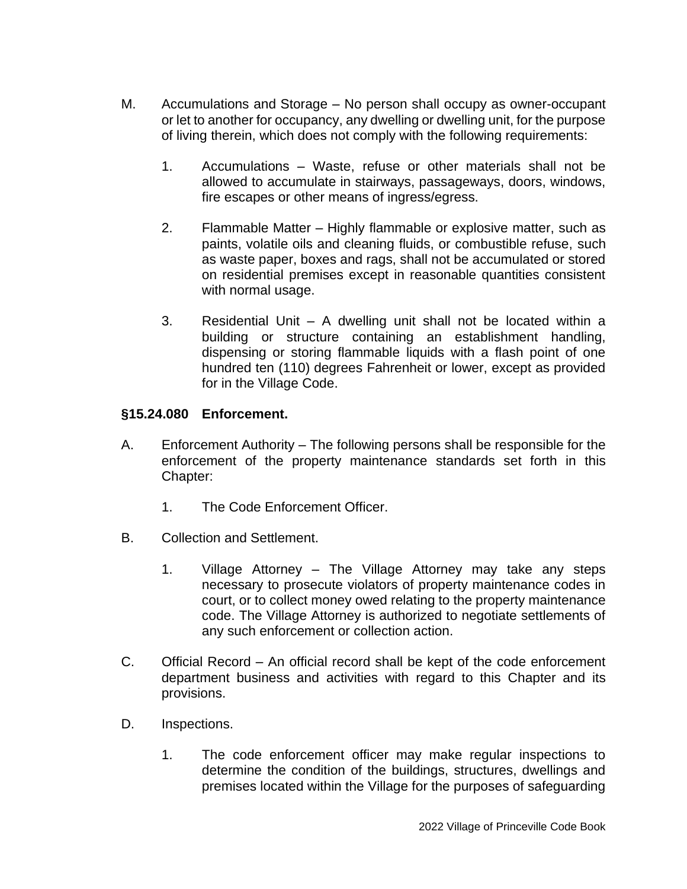- M. Accumulations and Storage No person shall occupy as owner-occupant or let to another for occupancy, any dwelling or dwelling unit, for the purpose of living therein, which does not comply with the following requirements:
	- 1. Accumulations Waste, refuse or other materials shall not be allowed to accumulate in stairways, passageways, doors, windows, fire escapes or other means of ingress/egress.
	- 2. Flammable Matter Highly flammable or explosive matter, such as paints, volatile oils and cleaning fluids, or combustible refuse, such as waste paper, boxes and rags, shall not be accumulated or stored on residential premises except in reasonable quantities consistent with normal usage.
	- 3. Residential Unit A dwelling unit shall not be located within a building or structure containing an establishment handling, dispensing or storing flammable liquids with a flash point of one hundred ten (110) degrees Fahrenheit or lower, except as provided for in the Village Code.

### **§15.24.080 Enforcement.**

- A. Enforcement Authority The following persons shall be responsible for the enforcement of the property maintenance standards set forth in this Chapter:
	- 1. The Code Enforcement Officer.
- B. Collection and Settlement.
	- 1. Village Attorney The Village Attorney may take any steps necessary to prosecute violators of property maintenance codes in court, or to collect money owed relating to the property maintenance code. The Village Attorney is authorized to negotiate settlements of any such enforcement or collection action.
- C. Official Record An official record shall be kept of the code enforcement department business and activities with regard to this Chapter and its provisions.
- D. Inspections.
	- 1. The code enforcement officer may make regular inspections to determine the condition of the buildings, structures, dwellings and premises located within the Village for the purposes of safeguarding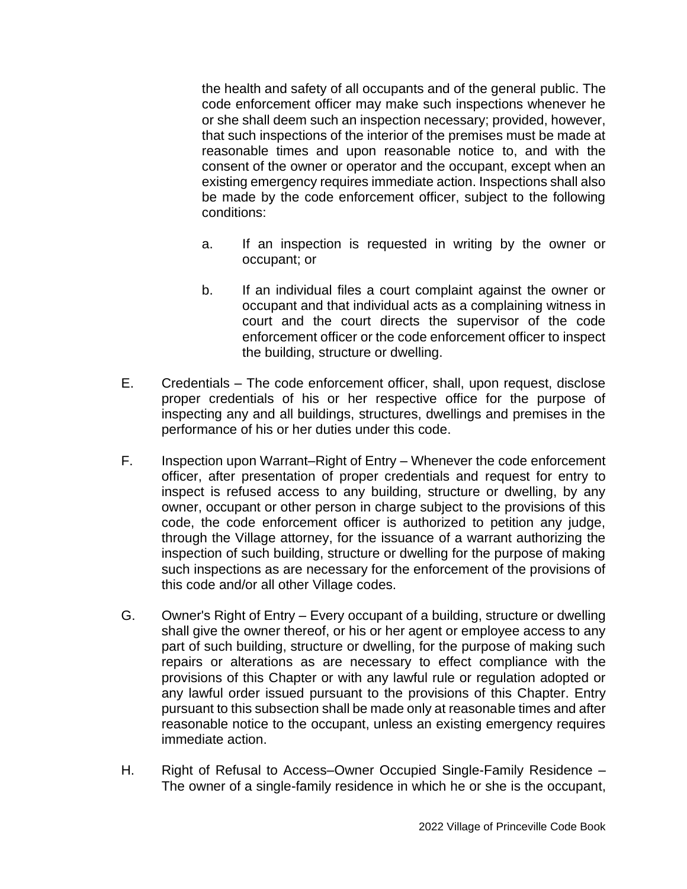the health and safety of all occupants and of the general public. The code enforcement officer may make such inspections whenever he or she shall deem such an inspection necessary; provided, however, that such inspections of the interior of the premises must be made at reasonable times and upon reasonable notice to, and with the consent of the owner or operator and the occupant, except when an existing emergency requires immediate action. Inspections shall also be made by the code enforcement officer, subject to the following conditions:

- a. If an inspection is requested in writing by the owner or occupant; or
- b. If an individual files a court complaint against the owner or occupant and that individual acts as a complaining witness in court and the court directs the supervisor of the code enforcement officer or the code enforcement officer to inspect the building, structure or dwelling.
- E. Credentials The code enforcement officer, shall, upon request, disclose proper credentials of his or her respective office for the purpose of inspecting any and all buildings, structures, dwellings and premises in the performance of his or her duties under this code.
- F. Inspection upon Warrant–Right of Entry Whenever the code enforcement officer, after presentation of proper credentials and request for entry to inspect is refused access to any building, structure or dwelling, by any owner, occupant or other person in charge subject to the provisions of this code, the code enforcement officer is authorized to petition any judge, through the Village attorney, for the issuance of a warrant authorizing the inspection of such building, structure or dwelling for the purpose of making such inspections as are necessary for the enforcement of the provisions of this code and/or all other Village codes.
- G. Owner's Right of Entry Every occupant of a building, structure or dwelling shall give the owner thereof, or his or her agent or employee access to any part of such building, structure or dwelling, for the purpose of making such repairs or alterations as are necessary to effect compliance with the provisions of this Chapter or with any lawful rule or regulation adopted or any lawful order issued pursuant to the provisions of this Chapter. Entry pursuant to this subsection shall be made only at reasonable times and after reasonable notice to the occupant, unless an existing emergency requires immediate action.
- H. Right of Refusal to Access–Owner Occupied Single-Family Residence The owner of a single-family residence in which he or she is the occupant,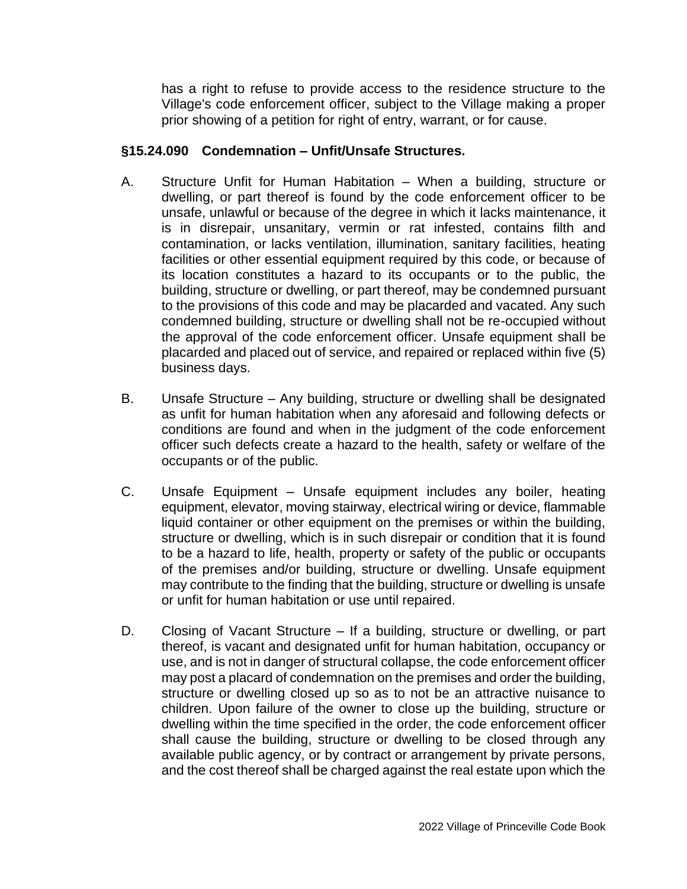has a right to refuse to provide access to the residence structure to the Village's code enforcement officer, subject to the Village making a proper prior showing of a petition for right of entry, warrant, or for cause.

### **§15.24.090 Condemnation – Unfit/Unsafe Structures.**

- A. Structure Unfit for Human Habitation When a building, structure or dwelling, or part thereof is found by the code enforcement officer to be unsafe, unlawful or because of the degree in which it lacks maintenance, it is in disrepair, unsanitary, vermin or rat infested, contains filth and contamination, or lacks ventilation, illumination, sanitary facilities, heating facilities or other essential equipment required by this code, or because of its location constitutes a hazard to its occupants or to the public, the building, structure or dwelling, or part thereof, may be condemned pursuant to the provisions of this code and may be placarded and vacated. Any such condemned building, structure or dwelling shall not be re-occupied without the approval of the code enforcement officer. Unsafe equipment shall be placarded and placed out of service, and repaired or replaced within five (5) business days.
- B. Unsafe Structure Any building, structure or dwelling shall be designated as unfit for human habitation when any aforesaid and following defects or conditions are found and when in the judgment of the code enforcement officer such defects create a hazard to the health, safety or welfare of the occupants or of the public.
- C. Unsafe Equipment Unsafe equipment includes any boiler, heating equipment, elevator, moving stairway, electrical wiring or device, flammable liquid container or other equipment on the premises or within the building, structure or dwelling, which is in such disrepair or condition that it is found to be a hazard to life, health, property or safety of the public or occupants of the premises and/or building, structure or dwelling. Unsafe equipment may contribute to the finding that the building, structure or dwelling is unsafe or unfit for human habitation or use until repaired.
- D. Closing of Vacant Structure If a building, structure or dwelling, or part thereof, is vacant and designated unfit for human habitation, occupancy or use, and is not in danger of structural collapse, the code enforcement officer may post a placard of condemnation on the premises and order the building, structure or dwelling closed up so as to not be an attractive nuisance to children. Upon failure of the owner to close up the building, structure or dwelling within the time specified in the order, the code enforcement officer shall cause the building, structure or dwelling to be closed through any available public agency, or by contract or arrangement by private persons, and the cost thereof shall be charged against the real estate upon which the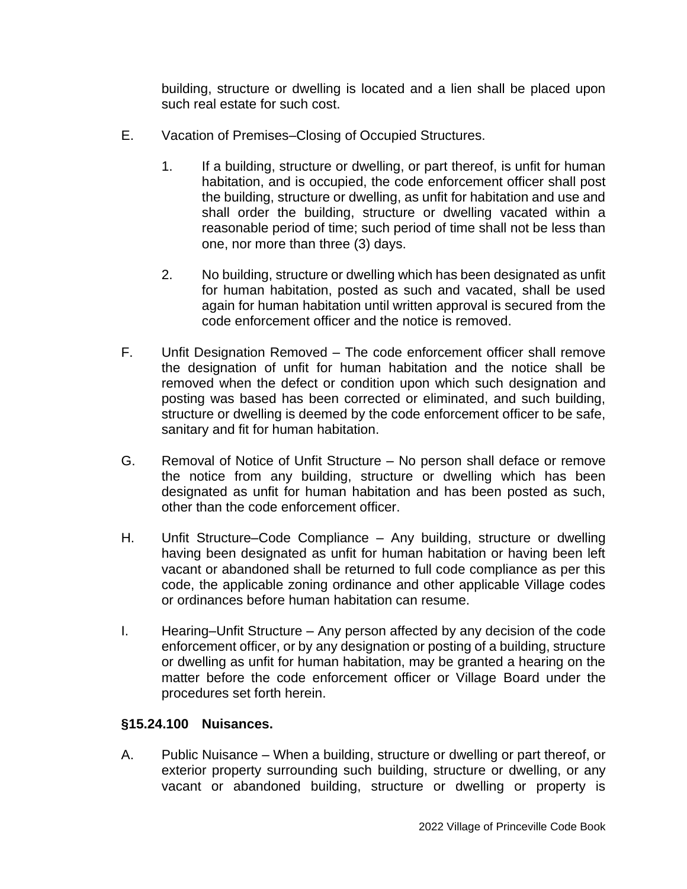building, structure or dwelling is located and a lien shall be placed upon such real estate for such cost.

- E. Vacation of Premises–Closing of Occupied Structures.
	- 1. If a building, structure or dwelling, or part thereof, is unfit for human habitation, and is occupied, the code enforcement officer shall post the building, structure or dwelling, as unfit for habitation and use and shall order the building, structure or dwelling vacated within a reasonable period of time; such period of time shall not be less than one, nor more than three (3) days.
	- 2. No building, structure or dwelling which has been designated as unfit for human habitation, posted as such and vacated, shall be used again for human habitation until written approval is secured from the code enforcement officer and the notice is removed.
- F. Unfit Designation Removed The code enforcement officer shall remove the designation of unfit for human habitation and the notice shall be removed when the defect or condition upon which such designation and posting was based has been corrected or eliminated, and such building, structure or dwelling is deemed by the code enforcement officer to be safe, sanitary and fit for human habitation.
- G. Removal of Notice of Unfit Structure No person shall deface or remove the notice from any building, structure or dwelling which has been designated as unfit for human habitation and has been posted as such, other than the code enforcement officer.
- H. Unfit Structure–Code Compliance Any building, structure or dwelling having been designated as unfit for human habitation or having been left vacant or abandoned shall be returned to full code compliance as per this code, the applicable zoning ordinance and other applicable Village codes or ordinances before human habitation can resume.
- I. Hearing–Unfit Structure Any person affected by any decision of the code enforcement officer, or by any designation or posting of a building, structure or dwelling as unfit for human habitation, may be granted a hearing on the matter before the code enforcement officer or Village Board under the procedures set forth herein.

## **§15.24.100 Nuisances.**

A. Public Nuisance – When a building, structure or dwelling or part thereof, or exterior property surrounding such building, structure or dwelling, or any vacant or abandoned building, structure or dwelling or property is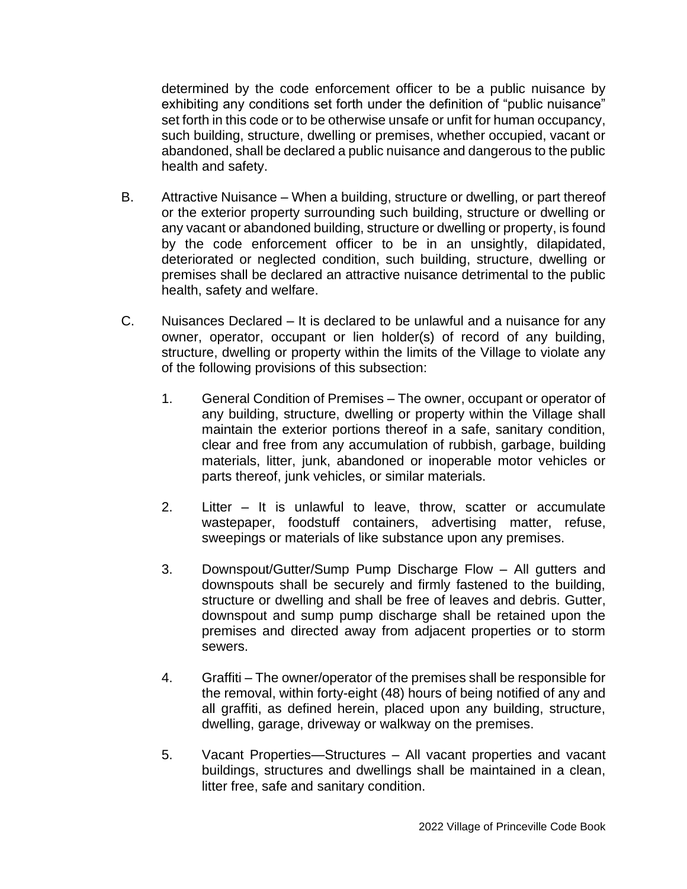determined by the code enforcement officer to be a public nuisance by exhibiting any conditions set forth under the definition of "public nuisance" set forth in this code or to be otherwise unsafe or unfit for human occupancy, such building, structure, dwelling or premises, whether occupied, vacant or abandoned, shall be declared a public nuisance and dangerous to the public health and safety.

- B. Attractive Nuisance When a building, structure or dwelling, or part thereof or the exterior property surrounding such building, structure or dwelling or any vacant or abandoned building, structure or dwelling or property, is found by the code enforcement officer to be in an unsightly, dilapidated, deteriorated or neglected condition, such building, structure, dwelling or premises shall be declared an attractive nuisance detrimental to the public health, safety and welfare.
- C. Nuisances Declared It is declared to be unlawful and a nuisance for any owner, operator, occupant or lien holder(s) of record of any building, structure, dwelling or property within the limits of the Village to violate any of the following provisions of this subsection:
	- 1. General Condition of Premises The owner, occupant or operator of any building, structure, dwelling or property within the Village shall maintain the exterior portions thereof in a safe, sanitary condition, clear and free from any accumulation of rubbish, garbage, building materials, litter, junk, abandoned or inoperable motor vehicles or parts thereof, junk vehicles, or similar materials.
	- 2. Litter It is unlawful to leave, throw, scatter or accumulate wastepaper, foodstuff containers, advertising matter, refuse, sweepings or materials of like substance upon any premises.
	- 3. Downspout/Gutter/Sump Pump Discharge Flow All gutters and downspouts shall be securely and firmly fastened to the building, structure or dwelling and shall be free of leaves and debris. Gutter, downspout and sump pump discharge shall be retained upon the premises and directed away from adjacent properties or to storm sewers.
	- 4. Graffiti The owner/operator of the premises shall be responsible for the removal, within forty-eight (48) hours of being notified of any and all graffiti, as defined herein, placed upon any building, structure, dwelling, garage, driveway or walkway on the premises.
	- 5. Vacant Properties—Structures All vacant properties and vacant buildings, structures and dwellings shall be maintained in a clean, litter free, safe and sanitary condition.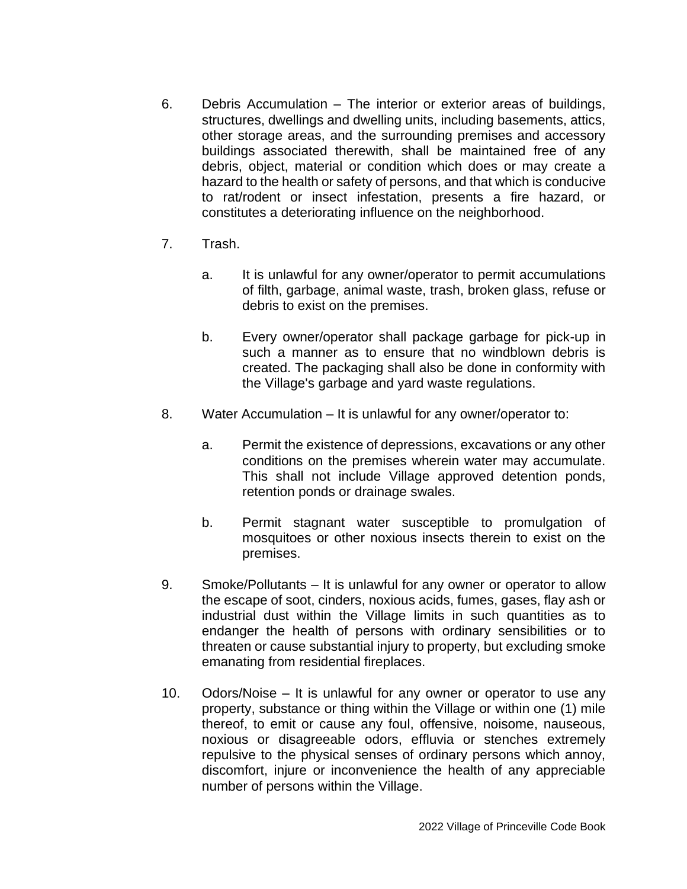- 6. Debris Accumulation The interior or exterior areas of buildings, structures, dwellings and dwelling units, including basements, attics, other storage areas, and the surrounding premises and accessory buildings associated therewith, shall be maintained free of any debris, object, material or condition which does or may create a hazard to the health or safety of persons, and that which is conducive to rat/rodent or insect infestation, presents a fire hazard, or constitutes a deteriorating influence on the neighborhood.
- 7. Trash.
	- a. It is unlawful for any owner/operator to permit accumulations of filth, garbage, animal waste, trash, broken glass, refuse or debris to exist on the premises.
	- b. Every owner/operator shall package garbage for pick-up in such a manner as to ensure that no windblown debris is created. The packaging shall also be done in conformity with the Village's garbage and yard waste regulations.
- 8. Water Accumulation It is unlawful for any owner/operator to:
	- a. Permit the existence of depressions, excavations or any other conditions on the premises wherein water may accumulate. This shall not include Village approved detention ponds, retention ponds or drainage swales.
	- b. Permit stagnant water susceptible to promulgation of mosquitoes or other noxious insects therein to exist on the premises.
- 9. Smoke/Pollutants It is unlawful for any owner or operator to allow the escape of soot, cinders, noxious acids, fumes, gases, flay ash or industrial dust within the Village limits in such quantities as to endanger the health of persons with ordinary sensibilities or to threaten or cause substantial injury to property, but excluding smoke emanating from residential fireplaces.
- 10. Odors/Noise It is unlawful for any owner or operator to use any property, substance or thing within the Village or within one (1) mile thereof, to emit or cause any foul, offensive, noisome, nauseous, noxious or disagreeable odors, effluvia or stenches extremely repulsive to the physical senses of ordinary persons which annoy, discomfort, injure or inconvenience the health of any appreciable number of persons within the Village.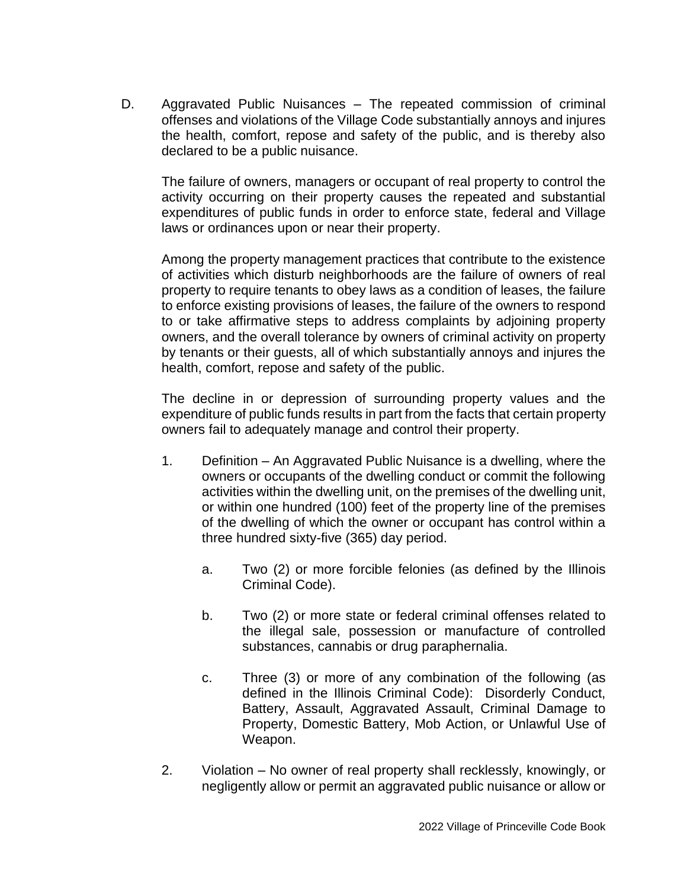D. Aggravated Public Nuisances – The repeated commission of criminal offenses and violations of the Village Code substantially annoys and injures the health, comfort, repose and safety of the public, and is thereby also declared to be a public nuisance.

The failure of owners, managers or occupant of real property to control the activity occurring on their property causes the repeated and substantial expenditures of public funds in order to enforce state, federal and Village laws or ordinances upon or near their property.

Among the property management practices that contribute to the existence of activities which disturb neighborhoods are the failure of owners of real property to require tenants to obey laws as a condition of leases, the failure to enforce existing provisions of leases, the failure of the owners to respond to or take affirmative steps to address complaints by adjoining property owners, and the overall tolerance by owners of criminal activity on property by tenants or their guests, all of which substantially annoys and injures the health, comfort, repose and safety of the public.

The decline in or depression of surrounding property values and the expenditure of public funds results in part from the facts that certain property owners fail to adequately manage and control their property.

- 1. Definition An Aggravated Public Nuisance is a dwelling, where the owners or occupants of the dwelling conduct or commit the following activities within the dwelling unit, on the premises of the dwelling unit, or within one hundred (100) feet of the property line of the premises of the dwelling of which the owner or occupant has control within a three hundred sixty-five (365) day period.
	- a. Two (2) or more forcible felonies (as defined by the Illinois Criminal Code).
	- b. Two (2) or more state or federal criminal offenses related to the illegal sale, possession or manufacture of controlled substances, cannabis or drug paraphernalia.
	- c. Three (3) or more of any combination of the following (as defined in the Illinois Criminal Code): Disorderly Conduct, Battery, Assault, Aggravated Assault, Criminal Damage to Property, Domestic Battery, Mob Action, or Unlawful Use of Weapon.
- 2. Violation No owner of real property shall recklessly, knowingly, or negligently allow or permit an aggravated public nuisance or allow or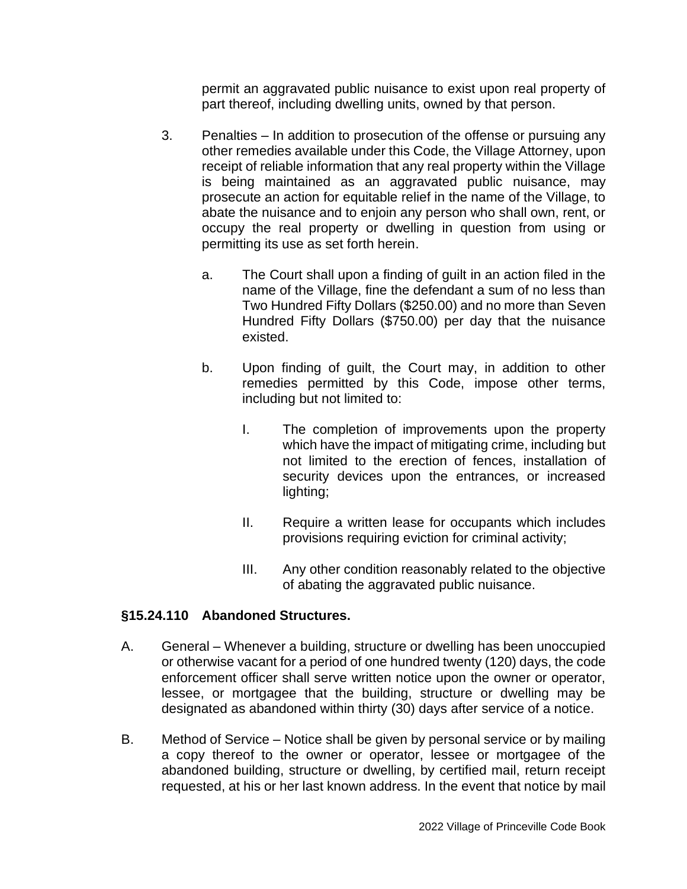permit an aggravated public nuisance to exist upon real property of part thereof, including dwelling units, owned by that person.

- 3. Penalties In addition to prosecution of the offense or pursuing any other remedies available under this Code, the Village Attorney, upon receipt of reliable information that any real property within the Village is being maintained as an aggravated public nuisance, may prosecute an action for equitable relief in the name of the Village, to abate the nuisance and to enjoin any person who shall own, rent, or occupy the real property or dwelling in question from using or permitting its use as set forth herein.
	- a. The Court shall upon a finding of guilt in an action filed in the name of the Village, fine the defendant a sum of no less than Two Hundred Fifty Dollars (\$250.00) and no more than Seven Hundred Fifty Dollars (\$750.00) per day that the nuisance existed.
	- b. Upon finding of guilt, the Court may, in addition to other remedies permitted by this Code, impose other terms, including but not limited to:
		- I. The completion of improvements upon the property which have the impact of mitigating crime, including but not limited to the erection of fences, installation of security devices upon the entrances, or increased lighting;
		- II. Require a written lease for occupants which includes provisions requiring eviction for criminal activity;
		- III. Any other condition reasonably related to the objective of abating the aggravated public nuisance.

## **§15.24.110 Abandoned Structures.**

- A. General Whenever a building, structure or dwelling has been unoccupied or otherwise vacant for a period of one hundred twenty (120) days, the code enforcement officer shall serve written notice upon the owner or operator, lessee, or mortgagee that the building, structure or dwelling may be designated as abandoned within thirty (30) days after service of a notice.
- B. Method of Service Notice shall be given by personal service or by mailing a copy thereof to the owner or operator, lessee or mortgagee of the abandoned building, structure or dwelling, by certified mail, return receipt requested, at his or her last known address. In the event that notice by mail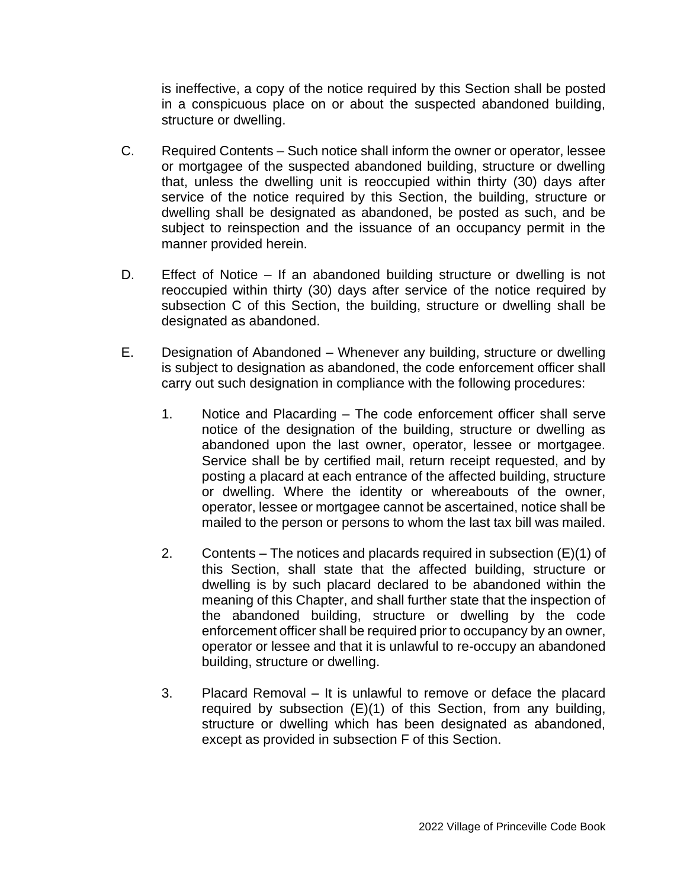is ineffective, a copy of the notice required by this Section shall be posted in a conspicuous place on or about the suspected abandoned building, structure or dwelling.

- C. Required Contents Such notice shall inform the owner or operator, lessee or mortgagee of the suspected abandoned building, structure or dwelling that, unless the dwelling unit is reoccupied within thirty (30) days after service of the notice required by this Section, the building, structure or dwelling shall be designated as abandoned, be posted as such, and be subject to reinspection and the issuance of an occupancy permit in the manner provided herein.
- D. Effect of Notice If an abandoned building structure or dwelling is not reoccupied within thirty (30) days after service of the notice required by subsection C of this Section, the building, structure or dwelling shall be designated as abandoned.
- E. Designation of Abandoned Whenever any building, structure or dwelling is subject to designation as abandoned, the code enforcement officer shall carry out such designation in compliance with the following procedures:
	- 1. Notice and Placarding The code enforcement officer shall serve notice of the designation of the building, structure or dwelling as abandoned upon the last owner, operator, lessee or mortgagee. Service shall be by certified mail, return receipt requested, and by posting a placard at each entrance of the affected building, structure or dwelling. Where the identity or whereabouts of the owner, operator, lessee or mortgagee cannot be ascertained, notice shall be mailed to the person or persons to whom the last tax bill was mailed.
	- 2. Contents The notices and placards required in subsection (E)(1) of this Section, shall state that the affected building, structure or dwelling is by such placard declared to be abandoned within the meaning of this Chapter, and shall further state that the inspection of the abandoned building, structure or dwelling by the code enforcement officer shall be required prior to occupancy by an owner, operator or lessee and that it is unlawful to re-occupy an abandoned building, structure or dwelling.
	- 3. Placard Removal It is unlawful to remove or deface the placard required by subsection (E)(1) of this Section, from any building, structure or dwelling which has been designated as abandoned, except as provided in subsection F of this Section.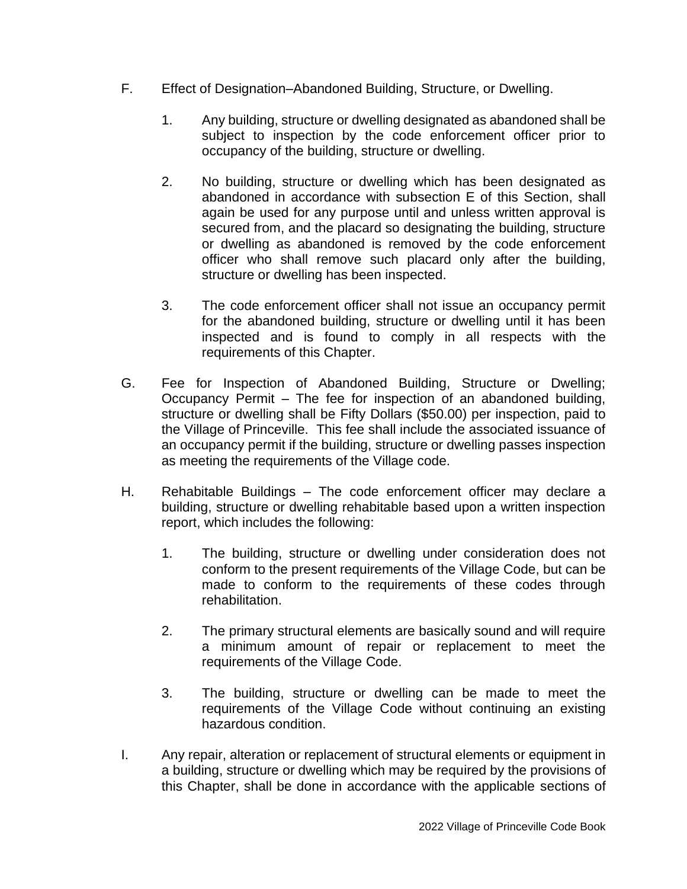- F. Effect of Designation–Abandoned Building, Structure, or Dwelling.
	- 1. Any building, structure or dwelling designated as abandoned shall be subject to inspection by the code enforcement officer prior to occupancy of the building, structure or dwelling.
	- 2. No building, structure or dwelling which has been designated as abandoned in accordance with subsection E of this Section, shall again be used for any purpose until and unless written approval is secured from, and the placard so designating the building, structure or dwelling as abandoned is removed by the code enforcement officer who shall remove such placard only after the building, structure or dwelling has been inspected.
	- 3. The code enforcement officer shall not issue an occupancy permit for the abandoned building, structure or dwelling until it has been inspected and is found to comply in all respects with the requirements of this Chapter.
- G. Fee for Inspection of Abandoned Building, Structure or Dwelling; Occupancy Permit – The fee for inspection of an abandoned building, structure or dwelling shall be Fifty Dollars (\$50.00) per inspection, paid to the Village of Princeville. This fee shall include the associated issuance of an occupancy permit if the building, structure or dwelling passes inspection as meeting the requirements of the Village code.
- H. Rehabitable Buildings The code enforcement officer may declare a building, structure or dwelling rehabitable based upon a written inspection report, which includes the following:
	- 1. The building, structure or dwelling under consideration does not conform to the present requirements of the Village Code, but can be made to conform to the requirements of these codes through rehabilitation.
	- 2. The primary structural elements are basically sound and will require a minimum amount of repair or replacement to meet the requirements of the Village Code.
	- 3. The building, structure or dwelling can be made to meet the requirements of the Village Code without continuing an existing hazardous condition.
- I. Any repair, alteration or replacement of structural elements or equipment in a building, structure or dwelling which may be required by the provisions of this Chapter, shall be done in accordance with the applicable sections of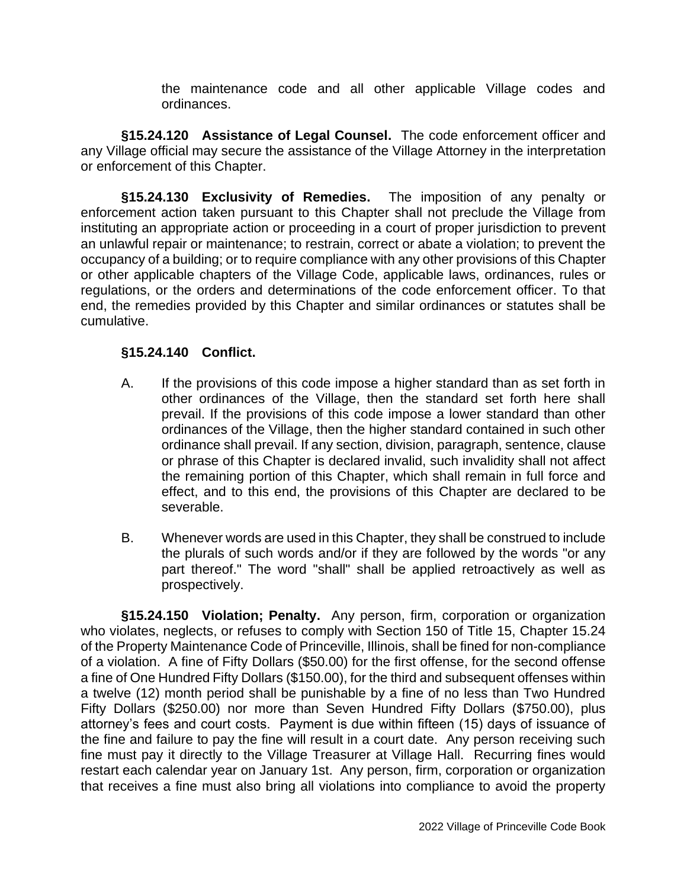the maintenance code and all other applicable Village codes and ordinances.

**§15.24.120 Assistance of Legal Counsel.** The code enforcement officer and any Village official may secure the assistance of the Village Attorney in the interpretation or enforcement of this Chapter.

**§15.24.130 Exclusivity of Remedies.** The imposition of any penalty or enforcement action taken pursuant to this Chapter shall not preclude the Village from instituting an appropriate action or proceeding in a court of proper jurisdiction to prevent an unlawful repair or maintenance; to restrain, correct or abate a violation; to prevent the occupancy of a building; or to require compliance with any other provisions of this Chapter or other applicable chapters of the Village Code, applicable laws, ordinances, rules or regulations, or the orders and determinations of the code enforcement officer. To that end, the remedies provided by this Chapter and similar ordinances or statutes shall be cumulative.

## **§15.24.140 Conflict.**

- A. If the provisions of this code impose a higher standard than as set forth in other ordinances of the Village, then the standard set forth here shall prevail. If the provisions of this code impose a lower standard than other ordinances of the Village, then the higher standard contained in such other ordinance shall prevail. If any section, division, paragraph, sentence, clause or phrase of this Chapter is declared invalid, such invalidity shall not affect the remaining portion of this Chapter, which shall remain in full force and effect, and to this end, the provisions of this Chapter are declared to be severable.
- B. Whenever words are used in this Chapter, they shall be construed to include the plurals of such words and/or if they are followed by the words "or any part thereof." The word "shall" shall be applied retroactively as well as prospectively.

**§15.24.150 Violation; Penalty.** Any person, firm, corporation or organization who violates, neglects, or refuses to comply with Section 150 of Title 15, Chapter 15.24 of the Property Maintenance Code of Princeville, Illinois, shall be fined for non-compliance of a violation. A fine of Fifty Dollars (\$50.00) for the first offense, for the second offense a fine of One Hundred Fifty Dollars (\$150.00), for the third and subsequent offenses within a twelve (12) month period shall be punishable by a fine of no less than Two Hundred Fifty Dollars (\$250.00) nor more than Seven Hundred Fifty Dollars (\$750.00), plus attorney's fees and court costs. Payment is due within fifteen (15) days of issuance of the fine and failure to pay the fine will result in a court date. Any person receiving such fine must pay it directly to the Village Treasurer at Village Hall. Recurring fines would restart each calendar year on January 1st. Any person, firm, corporation or organization that receives a fine must also bring all violations into compliance to avoid the property